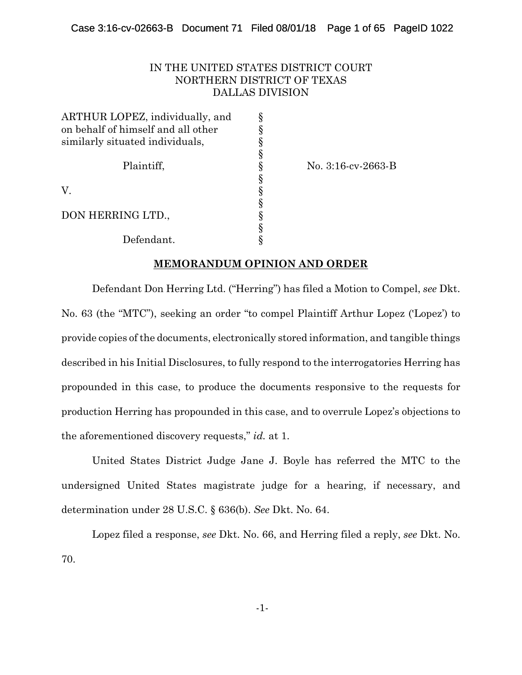## IN THE UNITED STATES DISTRICT COURT NORTHERN DISTRICT OF TEXAS DALLAS DIVISION

| ARTHUR LOPEZ, individually, and    | ş      |
|------------------------------------|--------|
| on behalf of himself and all other | ş      |
| similarly situated individuals,    | ş      |
|                                    | §      |
| Plaintiff,                         | ş      |
|                                    | §      |
| V.                                 |        |
|                                    | §<br>§ |
| DON HERRING LTD.,                  | ş      |
|                                    | §      |
| Defendant.                         |        |

No. 3:16-cv-2663-B

## **MEMORANDUM OPINION AND ORDER**

Defendant Don Herring Ltd. ("Herring") has filed a Motion to Compel, *see* Dkt. No. 63 (the "MTC"), seeking an order "to compel Plaintiff Arthur Lopez (<Lopez') to provide copies of the documents, electronically stored information, and tangible things described in his Initial Disclosures, to fully respond to the interrogatories Herring has propounded in this case, to produce the documents responsive to the requests for production Herring has propounded in this case, and to overrule Lopez's objections to the aforementioned discovery requests," *id.* at 1.

United States District Judge Jane J. Boyle has referred the MTC to the undersigned United States magistrate judge for a hearing, if necessary, and determination under 28 U.S.C. § 636(b). *See* Dkt. No. 64.

Lopez filed a response, *see* Dkt. No. 66, and Herring filed a reply, *see* Dkt. No. 70.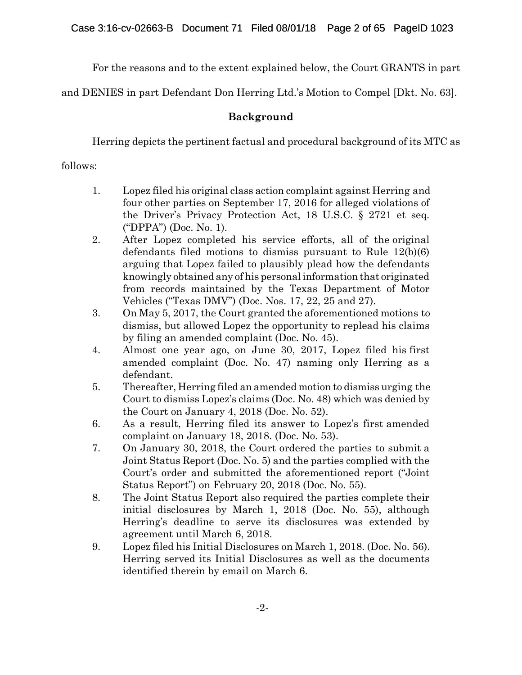For the reasons and to the extent explained below, the Court GRANTS in part

and DENIES in part Defendant Don Herring Ltd.'s Motion to Compel [Dkt. No. 63].

# **Background**

Herring depicts the pertinent factual and procedural background of its MTC as

follows:

- 1. Lopez filed his original class action complaint against Herring and four other parties on September 17, 2016 for alleged violations of the Driver's Privacy Protection Act, 18 U.S.C. § 2721 et seq. ("DPPA") (Doc. No. 1).
- 2. After Lopez completed his service efforts, all of the original defendants filed motions to dismiss pursuant to Rule 12(b)(6) arguing that Lopez failed to plausibly plead how the defendants knowingly obtained any of his personal information that originated from records maintained by the Texas Department of Motor Vehicles ("Texas DMV") (Doc. Nos. 17, 22, 25 and 27).
- 3. On May 5, 2017, the Court granted the aforementioned motions to dismiss, but allowed Lopez the opportunity to replead his claims by filing an amended complaint (Doc. No. 45).
- 4. Almost one year ago, on June 30, 2017, Lopez filed his first amended complaint (Doc. No. 47) naming only Herring as a defendant.
- 5. Thereafter, Herring filed an amended motion to dismiss urging the Court to dismiss Lopez's claims (Doc. No. 48) which was denied by the Court on January 4, 2018 (Doc. No. 52).
- 6. As a result, Herring filed its answer to Lopez's first amended complaint on January 18, 2018. (Doc. No. 53).
- 7. On January 30, 2018, the Court ordered the parties to submit a Joint Status Report (Doc. No. 5) and the parties complied with the Court's order and submitted the aforementioned report ("Joint Status Report") on February 20, 2018 (Doc. No. 55).
- 8. The Joint Status Report also required the parties complete their initial disclosures by March 1, 2018 (Doc. No. 55), although Herring's deadline to serve its disclosures was extended by agreement until March 6, 2018.
- 9. Lopez filed his Initial Disclosures on March 1, 2018. (Doc. No. 56). Herring served its Initial Disclosures as well as the documents identified therein by email on March 6.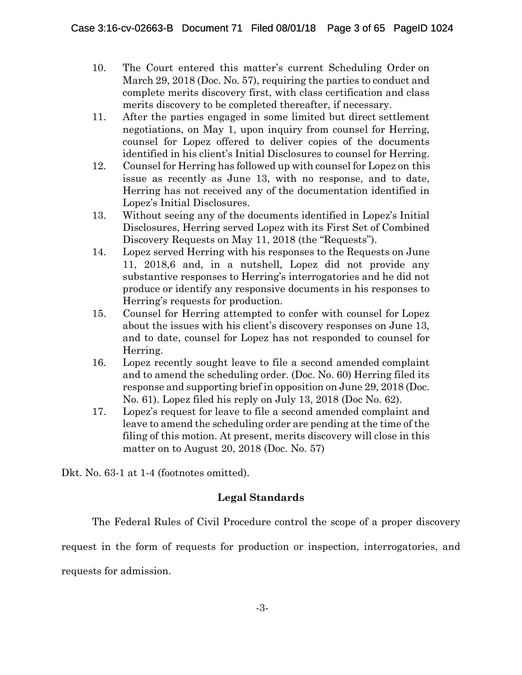- 10. The Court entered this matter's current Scheduling Order on March 29, 2018 (Doc. No. 57), requiring the parties to conduct and complete merits discovery first, with class certification and class merits discovery to be completed thereafter, if necessary.
- 11. After the parties engaged in some limited but direct settlement negotiations, on May 1, upon inquiry from counsel for Herring, counsel for Lopez offered to deliver copies of the documents identified in his client's Initial Disclosures to counsel for Herring.
- 12. Counsel for Herring has followed up with counsel for Lopez on this issue as recently as June 13, with no response, and to date, Herring has not received any of the documentation identified in Lopez's Initial Disclosures.
- 13. Without seeing any of the documents identified in Lopez's Initial Disclosures, Herring served Lopez with its First Set of Combined Discovery Requests on May 11, 2018 (the "Requests").
- 14. Lopez served Herring with his responses to the Requests on June 11, 2018,6 and, in a nutshell, Lopez did not provide any substantive responses to Herring's interrogatories and he did not produce or identify any responsive documents in his responses to Herring's requests for production.
- 15. Counsel for Herring attempted to confer with counsel for Lopez about the issues with his client's discovery responses on June 13, and to date, counsel for Lopez has not responded to counsel for Herring.
- 16. Lopez recently sought leave to file a second amended complaint and to amend the scheduling order. (Doc. No. 60) Herring filed its response and supporting brief in opposition on June 29, 2018 (Doc. No. 61). Lopez filed his reply on July 13, 2018 (Doc No. 62).
- 17. Lopez's request for leave to file a second amended complaint and leave to amend the scheduling order are pending at the time of the filing of this motion. At present, merits discovery will close in this matter on to August 20, 2018 (Doc. No. 57)

Dkt. No. 63-1 at 1-4 (footnotes omitted).

# **Legal Standards**

The Federal Rules of Civil Procedure control the scope of a proper discovery

request in the form of requests for production or inspection, interrogatories, and

requests for admission.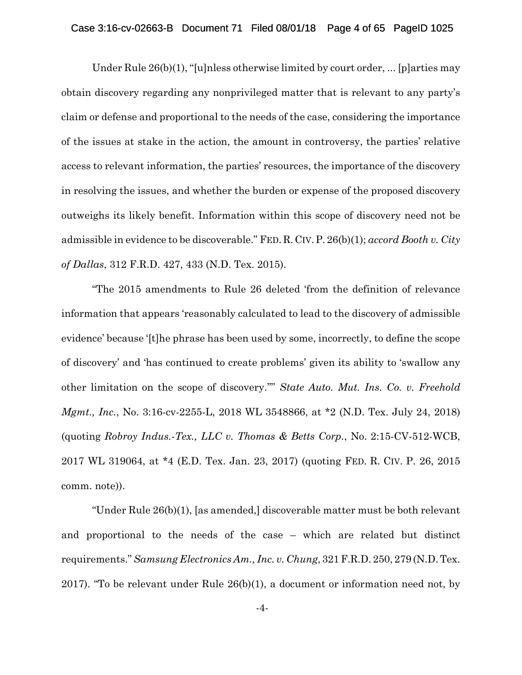## Case 3:16-cv-02663-B Document 71 Filed 08/01/18 Page 4 of 65 PageID 1025

Under Rule 26(b)(1), "[u]nless otherwise limited by court order, ... [p]arties may obtain discovery regarding any nonprivileged matter that is relevant to any party's claim or defense and proportional to the needs of the case, considering the importance of the issues at stake in the action, the amount in controversy, the parties' relative access to relevant information, the parties' resources, the importance of the discovery in resolving the issues, and whether the burden or expense of the proposed discovery outweighs its likely benefit. Information within this scope of discovery need not be admissible in evidence to be discoverable." FED. R. CIV.P. 26(b)(1); *accord Booth v. City of Dallas*, 312 F.R.D. 427, 433 (N.D. Tex. 2015).

"The 2015 amendments to Rule 26 deleted 'from the definition of relevance information that appears 'reasonably calculated to lead to the discovery of admissible evidence' because '[t]he phrase has been used by some, incorrectly, to define the scope of discovery' and 'has continued to create problems' given its ability to 'swallow any other limitation on the scope of discovery.''" *State Auto. Mut. Ins. Co. v. Freehold Mgmt., Inc.*, No. 3:16-cv-2255-L, 2018 WL 3548866, at \*2 (N.D. Tex. July 24, 2018) (quoting *Robroy Indus.-Tex., LLC v. Thomas & Betts Corp.*, No. 2:15-CV-512-WCB, 2017 WL 319064, at \*4 (E.D. Tex. Jan. 23, 2017) (quoting FED. R. CIV. P. 26, 2015 comm. note)).

"Under Rule 26(b)(1), [as amended,] discoverable matter must be both relevant and proportional to the needs of the case – which are related but distinct requirements." *Samsung Electronics Am., Inc. v. Chung*, 321 F.R.D. 250, 279 (N.D. Tex. 2017). "To be relevant under Rule 26(b)(1), a document or information need not, by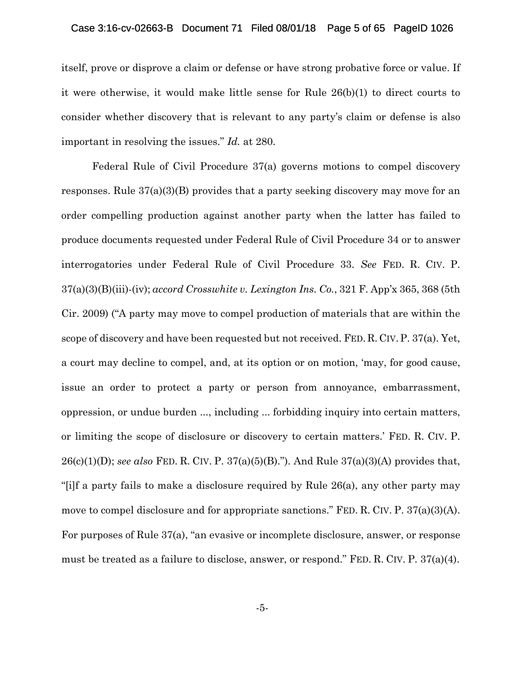## Case 3:16-cv-02663-B Document 71 Filed 08/01/18 Page 5 of 65 PageID 1026

itself, prove or disprove a claim or defense or have strong probative force or value. If it were otherwise, it would make little sense for Rule 26(b)(1) to direct courts to consider whether discovery that is relevant to any party's claim or defense is also important in resolving the issues." *Id.* at 280.

Federal Rule of Civil Procedure 37(a) governs motions to compel discovery responses. Rule  $37(a)(3)(B)$  provides that a party seeking discovery may move for an order compelling production against another party when the latter has failed to produce documents requested under Federal Rule of Civil Procedure 34 or to answer interrogatories under Federal Rule of Civil Procedure 33. *See* FED. R. CIV. P. 37(a)(3)(B)(iii)-(iv); *accord Crosswhite v. Lexington Ins. Co.*, 321 F. App'x 365, 368 (5th Cir. 2009) ("A party may move to compel production of materials that are within the scope of discovery and have been requested but not received. FED. R. CIV.P. 37(a). Yet, a court may decline to compel, and, at its option or on motion, 'may, for good cause, issue an order to protect a party or person from annoyance, embarrassment, oppression, or undue burden ..., including ... forbidding inquiry into certain matters, or limiting the scope of disclosure or discovery to certain matters.' FED. R. CIV. P. 26(c)(1)(D); *see also* FED. R. CIV. P. 37(a)(5)(B)."). And Rule 37(a)(3)(A) provides that, "[i]f a party fails to make a disclosure required by Rule 26(a), any other party may move to compel disclosure and for appropriate sanctions." FED. R. CIV. P.  $37(a)(3)(A)$ . For purposes of Rule 37(a), "an evasive or incomplete disclosure, answer, or response must be treated as a failure to disclose, answer, or respond." FED. R. CIV. P. 37(a)(4).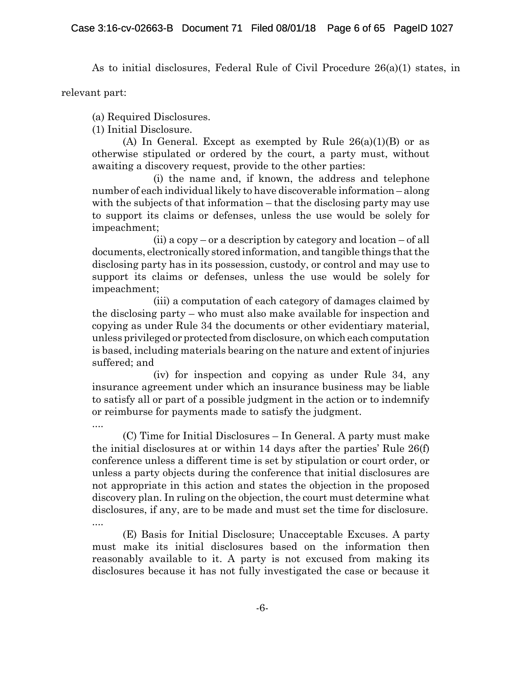As to initial disclosures, Federal Rule of Civil Procedure 26(a)(1) states, in

relevant part:

(a) Required Disclosures.

(1) Initial Disclosure.

(A) In General. Except as exempted by Rule  $26(a)(1)(B)$  or as otherwise stipulated or ordered by the court, a party must, without awaiting a discovery request, provide to the other parties:

(i) the name and, if known, the address and telephone number of each individual likely to have discoverable information – along with the subjects of that information – that the disclosing party may use to support its claims or defenses, unless the use would be solely for impeachment;

(ii) a copy – or a description by category and location – of all documents, electronically stored information, and tangible things that the disclosing party has in its possession, custody, or control and may use to support its claims or defenses, unless the use would be solely for impeachment;

(iii) a computation of each category of damages claimed by the disclosing party – who must also make available for inspection and copying as under Rule 34 the documents or other evidentiary material, unless privileged or protected from disclosure, on which each computation is based, including materials bearing on the nature and extent of injuries suffered; and

(iv) for inspection and copying as under Rule 34, any insurance agreement under which an insurance business may be liable to satisfy all or part of a possible judgment in the action or to indemnify or reimburse for payments made to satisfy the judgment.

....

(C) Time for Initial Disclosures – In General. A party must make the initial disclosures at or within 14 days after the parties' Rule 26(f) conference unless a different time is set by stipulation or court order, or unless a party objects during the conference that initial disclosures are not appropriate in this action and states the objection in the proposed discovery plan. In ruling on the objection, the court must determine what disclosures, if any, are to be made and must set the time for disclosure. ....

(E) Basis for Initial Disclosure; Unacceptable Excuses. A party must make its initial disclosures based on the information then reasonably available to it. A party is not excused from making its disclosures because it has not fully investigated the case or because it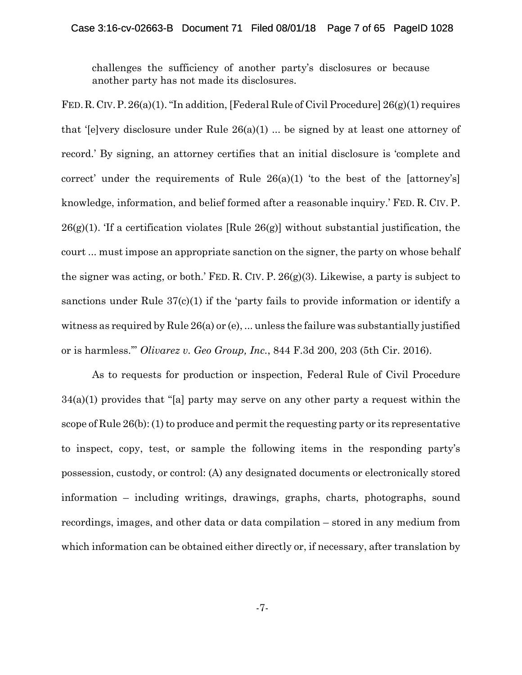challenges the sufficiency of another party's disclosures or because another party has not made its disclosures.

FED. R. CIV. P. 26(a)(1). "In addition, [Federal Rule of Civil Procedure]  $26(g)(1)$  requires that '[e]very disclosure under Rule  $26(a)(1)$  ... be signed by at least one attorney of record.' By signing, an attorney certifies that an initial disclosure is 'complete and correct' under the requirements of Rule  $26(a)(1)$  'to the best of the [attorney's] knowledge, information, and belief formed after a reasonable inquiry.' FED. R. CIV. P.  $26(g)(1)$ . 'If a certification violates [Rule  $26(g)$ ] without substantial justification, the court ... must impose an appropriate sanction on the signer, the party on whose behalf the signer was acting, or both.' FED. R. CIV. P. 26(g)(3). Likewise, a party is subject to sanctions under Rule  $37(c)(1)$  if the 'party fails to provide information or identify a witness as required by Rule 26(a) or (e), ... unless the failure was substantially justified or is harmless.'" *Olivarez v. Geo Group, Inc.*, 844 F.3d 200, 203 (5th Cir. 2016).

As to requests for production or inspection, Federal Rule of Civil Procedure 34(a)(1) provides that "[a] party may serve on any other party a request within the scope of Rule 26(b): (1) to produce and permit the requesting party or its representative to inspect, copy, test, or sample the following items in the responding party's possession, custody, or control: (A) any designated documents or electronically stored information – including writings, drawings, graphs, charts, photographs, sound recordings, images, and other data or data compilation – stored in any medium from which information can be obtained either directly or, if necessary, after translation by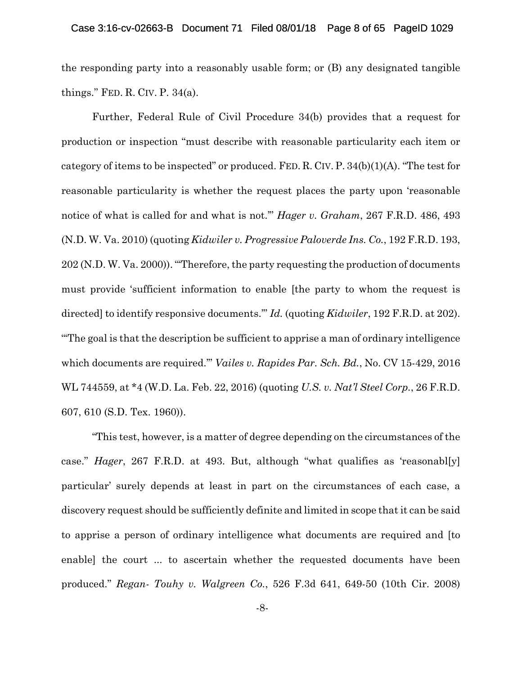the responding party into a reasonably usable form; or (B) any designated tangible things." FED. R. CIV. P.  $34(a)$ .

Further, Federal Rule of Civil Procedure 34(b) provides that a request for production or inspection "must describe with reasonable particularity each item or category of items to be inspected" or produced. FED. R. CIV.  $P. 34(b)(1)(A)$ . "The test for reasonable particularity is whether the request places the party upon 'reasonable notice of what is called for and what is not.'" *Hager v. Graham*, 267 F.R.D. 486, 493 (N.D. W. Va. 2010) (quoting *Kidwiler v. Progressive Paloverde Ins. Co.*, 192 F.R.D. 193, 202 (N.D. W. Va. 2000)). "'Therefore, the party requesting the production of documents must provide 'sufficient information to enable [the party to whom the request is directed] to identify responsive documents.'" *Id.* (quoting *Kidwiler*, 192 F.R.D. at 202). "'The goal is that the description be sufficient to apprise a man of ordinary intelligence which documents are required.'" *Vailes v. Rapides Par. Sch. Bd.*, No. CV 15-429, 2016 WL 744559, at \*4 (W.D. La. Feb. 22, 2016) (quoting *U.S. v. Nat'l Steel Corp.*, 26 F.R.D. 607, 610 (S.D. Tex. 1960)).

"This test, however, is a matter of degree depending on the circumstances of the case." *Hager*, 267 F.R.D. at 493. But, although "what qualifies as 'reasonabl[y] particular' surely depends at least in part on the circumstances of each case, a discovery request should be sufficiently definite and limited in scope that it can be said to apprise a person of ordinary intelligence what documents are required and [to enable] the court ... to ascertain whether the requested documents have been produced." *Regan- Touhy v. Walgreen Co.*, 526 F.3d 641, 649-50 (10th Cir. 2008)

-8-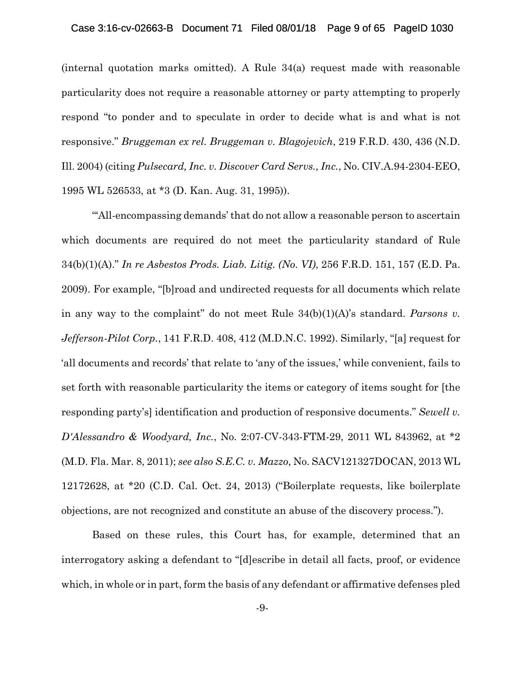## Case 3:16-cv-02663-B Document 71 Filed 08/01/18 Page 9 of 65 PageID 1030

(internal quotation marks omitted). A Rule 34(a) request made with reasonable particularity does not require a reasonable attorney or party attempting to properly respond "to ponder and to speculate in order to decide what is and what is not responsive." *Bruggeman ex rel. Bruggeman v. Blagojevich*, 219 F.R.D. 430, 436 (N.D. Ill. 2004) (citing *Pulsecard, Inc. v. Discover Card Servs., Inc.*, No. CIV.A.94-2304-EEO, 1995 WL 526533, at \*3 (D. Kan. Aug. 31, 1995)).

"All-encompassing demands' that do not allow a reasonable person to ascertain which documents are required do not meet the particularity standard of Rule 34(b)(1)(A)." *In re Asbestos Prods. Liab. Litig. (No. VI)*, 256 F.R.D. 151, 157 (E.D. Pa. 2009). For example, "[b]road and undirected requests for all documents which relate in any way to the complaint" do not meet Rule 34(b)(1)(A)'s standard. *Parsons v. Jefferson-Pilot Corp.*, 141 F.R.D. 408, 412 (M.D.N.C. 1992). Similarly, "[a] request for 'all documents and records' that relate to 'any of the issues,' while convenient, fails to set forth with reasonable particularity the items or category of items sought for [the responding party's] identification and production of responsive documents." *Sewell v. D'Alessandro & Woodyard, Inc.*, No. 2:07-CV-343-FTM-29, 2011 WL 843962, at \*2 (M.D. Fla. Mar. 8, 2011); *see also S.E.C. v. Mazzo*, No. SACV121327DOCAN, 2013 WL 12172628, at \*20 (C.D. Cal. Oct. 24, 2013) ("Boilerplate requests, like boilerplate objections, are not recognized and constitute an abuse of the discovery process.").

Based on these rules, this Court has, for example, determined that an interrogatory asking a defendant to "[d]escribe in detail all facts, proof, or evidence which, in whole or in part, form the basis of any defendant or affirmative defenses pled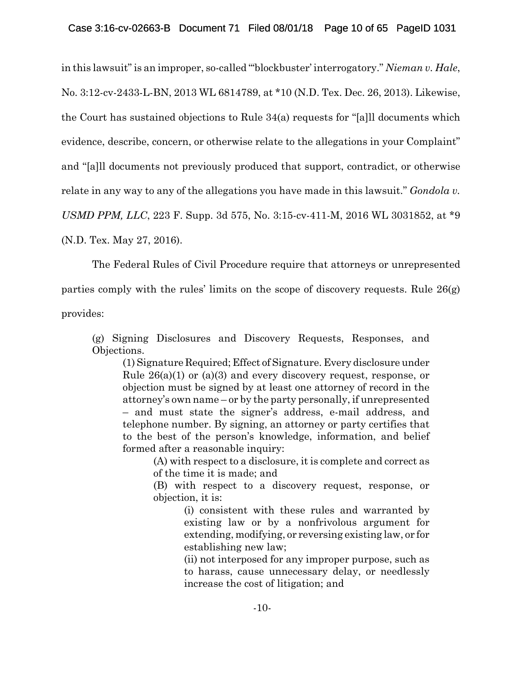in this lawsuit" is an improper, so-called "'blockbuster' interrogatory." *Nieman v. Hale*, No. 3:12-cv-2433-L-BN, 2013 WL 6814789, at \*10 (N.D. Tex. Dec. 26, 2013). Likewise, the Court has sustained objections to Rule 34(a) requests for "[a]ll documents which evidence, describe, concern, or otherwise relate to the allegations in your Complaint" and "[a]ll documents not previously produced that support, contradict, or otherwise relate in any way to any of the allegations you have made in this lawsuit." *Gondola v. USMD PPM, LLC*, 223 F. Supp. 3d 575, No. 3:15-cv-411-M, 2016 WL 3031852, at \*9

(N.D. Tex. May 27, 2016).

The Federal Rules of Civil Procedure require that attorneys or unrepresented

parties comply with the rules' limits on the scope of discovery requests. Rule 26(g)

provides:

(g) Signing Disclosures and Discovery Requests, Responses, and Objections.

(1) Signature Required; Effect of Signature. Every disclosure under Rule  $26(a)(1)$  or  $(a)(3)$  and every discovery request, response, or objection must be signed by at least one attorney of record in the attorney's own name – or by the party personally, if unrepresented – and must state the signer's address, e-mail address, and telephone number. By signing, an attorney or party certifies that to the best of the person's knowledge, information, and belief formed after a reasonable inquiry:

> (A) with respect to a disclosure, it is complete and correct as of the time it is made; and

> (B) with respect to a discovery request, response, or objection, it is:

> > (i) consistent with these rules and warranted by existing law or by a nonfrivolous argument for extending, modifying, or reversing existing law, or for establishing new law;

> > (ii) not interposed for any improper purpose, such as to harass, cause unnecessary delay, or needlessly increase the cost of litigation; and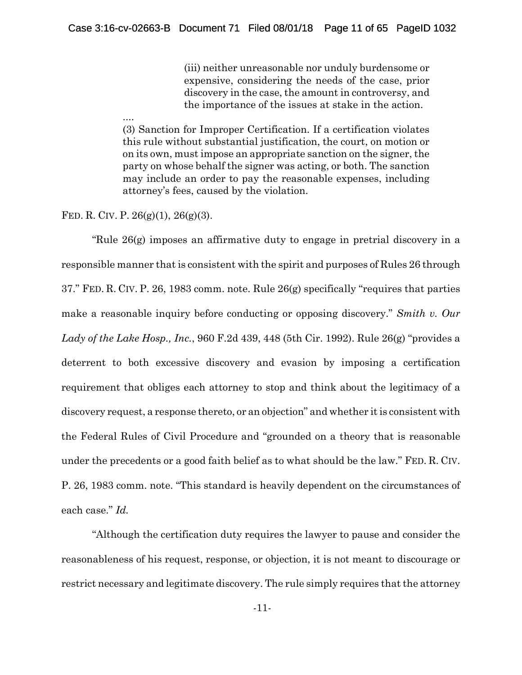(iii) neither unreasonable nor unduly burdensome or expensive, considering the needs of the case, prior discovery in the case, the amount in controversy, and the importance of the issues at stake in the action.

(3) Sanction for Improper Certification. If a certification violates this rule without substantial justification, the court, on motion or on its own, must impose an appropriate sanction on the signer, the party on whose behalf the signer was acting, or both. The sanction may include an order to pay the reasonable expenses, including attorney's fees, caused by the violation.

FED. R. CIV. P. 26(g)(1), 26(g)(3).

....

"Rule 26(g) imposes an affirmative duty to engage in pretrial discovery in a responsible manner that is consistent with the spirit and purposes of Rules 26 through 37." FED. R. CIV. P. 26, 1983 comm. note. Rule 26(g) specifically "requires that parties make a reasonable inquiry before conducting or opposing discovery." *Smith v. Our Lady of the Lake Hosp., Inc.*, 960 F.2d 439, 448 (5th Cir. 1992). Rule 26(g) "provides a deterrent to both excessive discovery and evasion by imposing a certification requirement that obliges each attorney to stop and think about the legitimacy of a discovery request, a response thereto, or an objection" and whether it is consistent with the Federal Rules of Civil Procedure and "grounded on a theory that is reasonable under the precedents or a good faith belief as to what should be the law." FED. R. CIV. P. 26, 1983 comm. note. "This standard is heavily dependent on the circumstances of each case." *Id.*

"Although the certification duty requires the lawyer to pause and consider the reasonableness of his request, response, or objection, it is not meant to discourage or restrict necessary and legitimate discovery. The rule simply requires that the attorney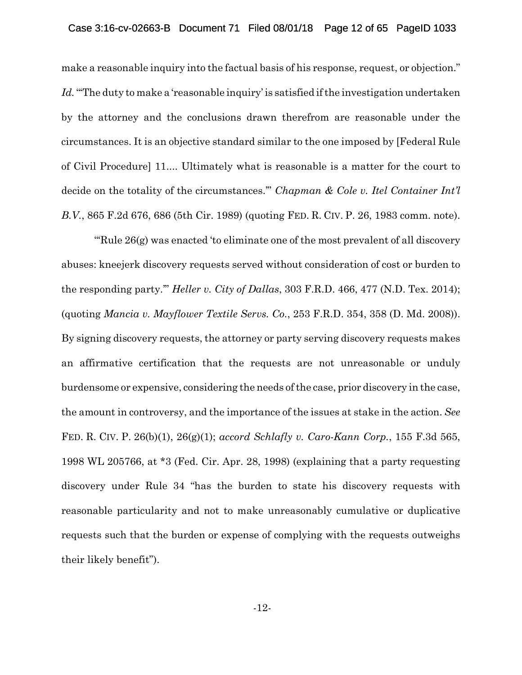## Case 3:16-cv-02663-B Document 71 Filed 08/01/18 Page 12 of 65 PageID 1033

make a reasonable inquiry into the factual basis of his response, request, or objection." Id. "The duty to make a 'reasonable inquiry' is satisfied if the investigation undertaken by the attorney and the conclusions drawn therefrom are reasonable under the circumstances. It is an objective standard similar to the one imposed by [Federal Rule of Civil Procedure] 11.... Ultimately what is reasonable is a matter for the court to decide on the totality of the circumstances.'" *Chapman & Cole v. Itel Container Int'l B.V.*, 865 F.2d 676, 686 (5th Cir. 1989) (quoting FED. R. CIV. P. 26, 1983 comm. note).

""Rule  $26(g)$  was enacted 'to eliminate one of the most prevalent of all discovery abuses: kneejerk discovery requests served without consideration of cost or burden to the responding party.'" *Heller v. City of Dallas*, 303 F.R.D. 466, 477 (N.D. Tex. 2014); (quoting *Mancia v. Mayflower Textile Servs. Co.*, 253 F.R.D. 354, 358 (D. Md. 2008)). By signing discovery requests, the attorney or party serving discovery requests makes an affirmative certification that the requests are not unreasonable or unduly burdensome or expensive, considering the needs of the case, prior discovery in the case, the amount in controversy, and the importance of the issues at stake in the action. *See* FED. R. CIV. P. 26(b)(1), 26(g)(1); *accord Schlafly v. Caro-Kann Corp.*, 155 F.3d 565, 1998 WL 205766, at \*3 (Fed. Cir. Apr. 28, 1998) (explaining that a party requesting discovery under Rule 34 "has the burden to state his discovery requests with reasonable particularity and not to make unreasonably cumulative or duplicative requests such that the burden or expense of complying with the requests outweighs their likely benefit").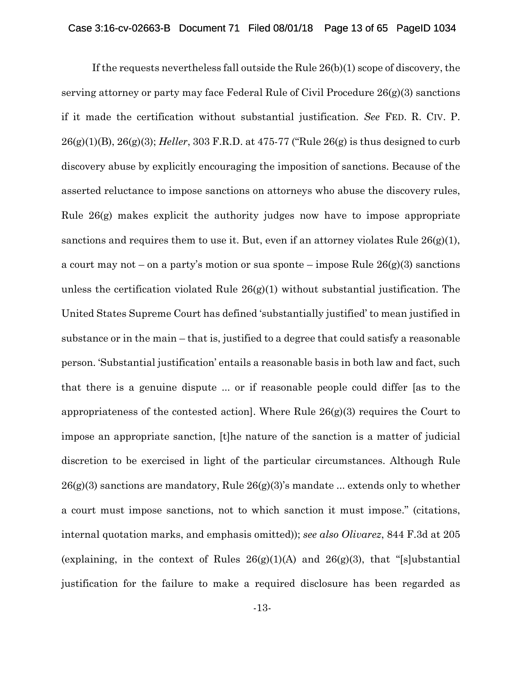## Case 3:16-cv-02663-B Document 71 Filed 08/01/18 Page 13 of 65 PageID 1034

If the requests nevertheless fall outside the Rule 26(b)(1) scope of discovery, the serving attorney or party may face Federal Rule of Civil Procedure 26(g)(3) sanctions if it made the certification without substantial justification. *See* FED. R. CIV. P. 26(g)(1)(B), 26(g)(3); *Heller*, 303 F.R.D. at 475-77 ("Rule 26(g) is thus designed to curb discovery abuse by explicitly encouraging the imposition of sanctions. Because of the asserted reluctance to impose sanctions on attorneys who abuse the discovery rules, Rule 26(g) makes explicit the authority judges now have to impose appropriate sanctions and requires them to use it. But, even if an attorney violates Rule  $26(g)(1)$ , a court may not – on a party's motion or sua sponte – impose Rule  $26(g)(3)$  sanctions unless the certification violated Rule  $26(g)(1)$  without substantial justification. The United States Supreme Court has defined 'substantially justified' to mean justified in substance or in the main – that is, justified to a degree that could satisfy a reasonable person. 'Substantial justification' entails a reasonable basis in both law and fact, such that there is a genuine dispute ... or if reasonable people could differ [as to the appropriateness of the contested action]. Where Rule 26(g)(3) requires the Court to impose an appropriate sanction, [t]he nature of the sanction is a matter of judicial discretion to be exercised in light of the particular circumstances. Although Rule  $26(g)(3)$  sanctions are mandatory, Rule  $26(g)(3)$ 's mandate ... extends only to whether a court must impose sanctions, not to which sanction it must impose." (citations, internal quotation marks, and emphasis omitted)); *see also Olivarez*, 844 F.3d at 205 (explaining, in the context of Rules  $26(g)(1)(A)$  and  $26(g)(3)$ , that "[s]ubstantial justification for the failure to make a required disclosure has been regarded as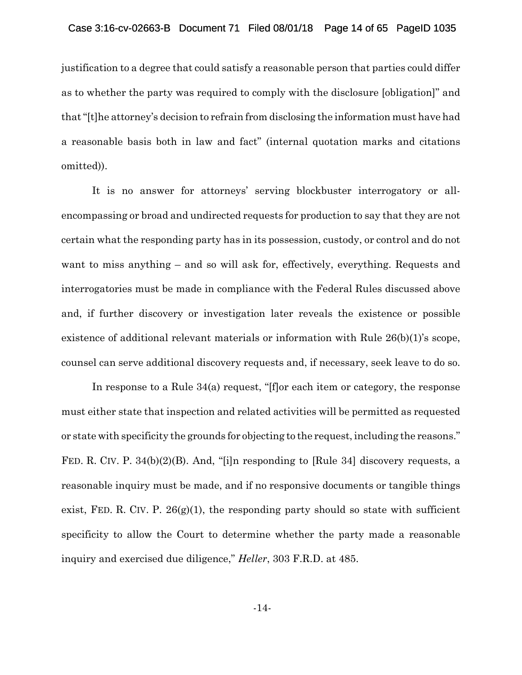## Case 3:16-cv-02663-B Document 71 Filed 08/01/18 Page 14 of 65 PageID 1035

justification to a degree that could satisfy a reasonable person that parties could differ as to whether the party was required to comply with the disclosure [obligation]" and that "[t]he attorney's decision to refrain from disclosing the information must have had a reasonable basis both in law and fact" (internal quotation marks and citations omitted)).

It is no answer for attorneys' serving blockbuster interrogatory or allencompassing or broad and undirected requests for production to say that they are not certain what the responding party has in its possession, custody, or control and do not want to miss anything – and so will ask for, effectively, everything. Requests and interrogatories must be made in compliance with the Federal Rules discussed above and, if further discovery or investigation later reveals the existence or possible existence of additional relevant materials or information with Rule 26(b)(1)'s scope, counsel can serve additional discovery requests and, if necessary, seek leave to do so.

In response to a Rule 34(a) request, "[f]or each item or category, the response must either state that inspection and related activities will be permitted as requested or state with specificity the grounds for objecting to the request, including the reasons." FED. R. CIV. P. 34(b)(2)(B). And, "[i]n responding to [Rule 34] discovery requests, a reasonable inquiry must be made, and if no responsive documents or tangible things exist, FED. R. CIV. P.  $26(g)(1)$ , the responding party should so state with sufficient specificity to allow the Court to determine whether the party made a reasonable inquiry and exercised due diligence," *Heller*, 303 F.R.D. at 485.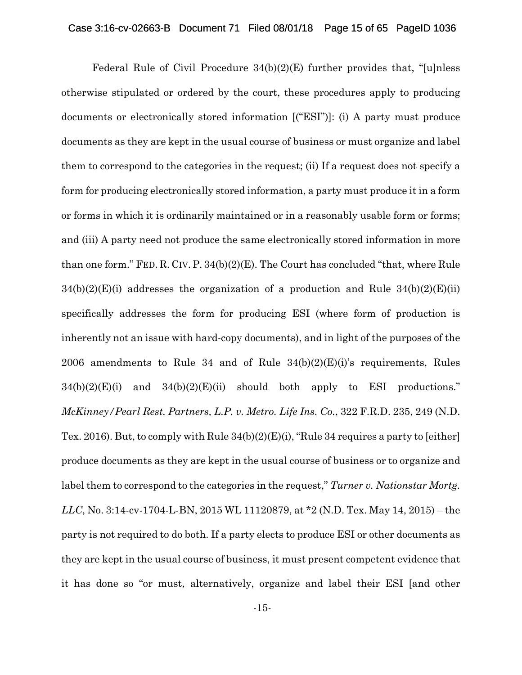## Case 3:16-cv-02663-B Document 71 Filed 08/01/18 Page 15 of 65 PageID 1036

Federal Rule of Civil Procedure 34(b)(2)(E) further provides that, "[u]nless otherwise stipulated or ordered by the court, these procedures apply to producing documents or electronically stored information [("ESI")]: (i) A party must produce documents as they are kept in the usual course of business or must organize and label them to correspond to the categories in the request; (ii) If a request does not specify a form for producing electronically stored information, a party must produce it in a form or forms in which it is ordinarily maintained or in a reasonably usable form or forms; and (iii) A party need not produce the same electronically stored information in more than one form." FED. R. CIV. P. 34(b)(2)(E). The Court has concluded "that, where Rule  $34(b)(2)(E)(i)$  addresses the organization of a production and Rule  $34(b)(2)(E)(ii)$ specifically addresses the form for producing ESI (where form of production is inherently not an issue with hard-copy documents), and in light of the purposes of the 2006 amendments to Rule 34 and of Rule  $34(b)(2)(E)(i)$ 's requirements, Rules  $34(b)(2)(E)(i)$  and  $34(b)(2)(E)(ii)$  should both apply to ESI productions." *McKinney/Pearl Rest. Partners, L.P. v. Metro. Life Ins. Co.*, 322 F.R.D. 235, 249 (N.D. Tex. 2016). But, to comply with Rule 34(b)(2)(E)(i), "Rule 34 requires a party to [either] produce documents as they are kept in the usual course of business or to organize and label them to correspond to the categories in the request," *Turner v. Nationstar Mortg. LLC*, No. 3:14-cv-1704-L-BN, 2015 WL 11120879, at \*2 (N.D. Tex. May 14, 2015) – the party is not required to do both. If a party elects to produce ESI or other documents as they are kept in the usual course of business, it must present competent evidence that it has done so "or must, alternatively, organize and label their ESI [and other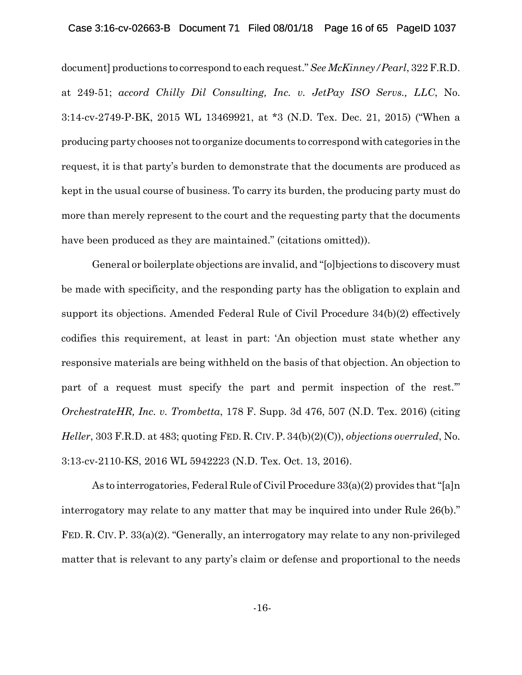## Case 3:16-cv-02663-B Document 71 Filed 08/01/18 Page 16 of 65 PageID 1037

document] productions to correspond to each request." *See McKinney/Pearl*, 322 F.R.D. at 249-51; *accord Chilly Dil Consulting, Inc. v. JetPay ISO Servs., LLC*, No. 3:14-cv-2749-P-BK, 2015 WL 13469921, at \*3 (N.D. Tex. Dec. 21, 2015) ("When a producing party chooses not to organize documents to correspond with categories in the request, it is that party's burden to demonstrate that the documents are produced as kept in the usual course of business. To carry its burden, the producing party must do more than merely represent to the court and the requesting party that the documents have been produced as they are maintained." (citations omitted)).

General or boilerplate objections are invalid, and "[o]bjections to discovery must be made with specificity, and the responding party has the obligation to explain and support its objections. Amended Federal Rule of Civil Procedure 34(b)(2) effectively codifies this requirement, at least in part: 'An objection must state whether any responsive materials are being withheld on the basis of that objection. An objection to part of a request must specify the part and permit inspection of the rest.'" *OrchestrateHR, Inc. v. Trombetta*, 178 F. Supp. 3d 476, 507 (N.D. Tex. 2016) (citing *Heller*, 303 F.R.D. at 483; quoting FED. R. CIV.P. 34(b)(2)(C)), *objections overruled*, No. 3:13-cv-2110-KS, 2016 WL 5942223 (N.D. Tex. Oct. 13, 2016).

As to interrogatories, Federal Rule of Civil Procedure 33(a)(2) provides that "[a]n interrogatory may relate to any matter that may be inquired into under Rule 26(b)." FED. R. CIV. P. 33(a)(2). "Generally, an interrogatory may relate to any non-privileged matter that is relevant to any party's claim or defense and proportional to the needs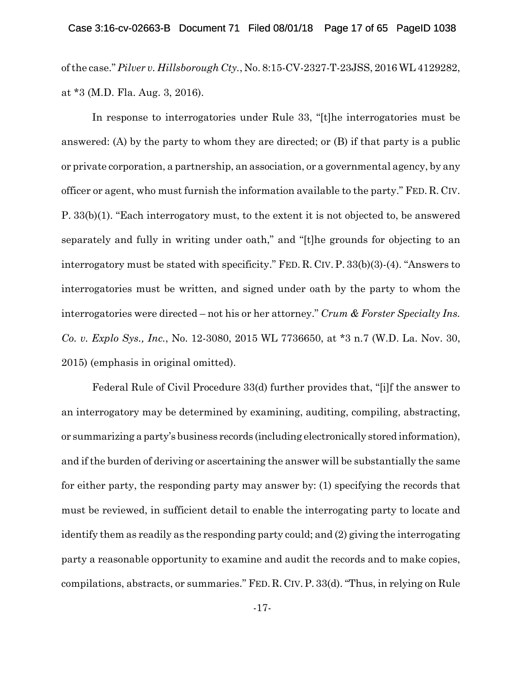of the case." *Pilver v. Hillsborough Cty.*, No. 8:15-CV-2327-T-23JSS, 2016 WL 4129282, at \*3 (M.D. Fla. Aug. 3, 2016).

In response to interrogatories under Rule 33, "[t]he interrogatories must be answered: (A) by the party to whom they are directed; or (B) if that party is a public or private corporation, a partnership, an association, or a governmental agency, by any officer or agent, who must furnish the information available to the party." FED. R. CIV. P. 33(b)(1). "Each interrogatory must, to the extent it is not objected to, be answered separately and fully in writing under oath," and "[t]he grounds for objecting to an interrogatory must be stated with specificity." FED. R. CIV. P. 33(b)(3)-(4). "Answers to interrogatories must be written, and signed under oath by the party to whom the interrogatories were directed – not his or her attorney." *Crum & Forster Specialty Ins. Co. v. Explo Sys., Inc.*, No. 12-3080, 2015 WL 7736650, at \*3 n.7 (W.D. La. Nov. 30, 2015) (emphasis in original omitted).

Federal Rule of Civil Procedure 33(d) further provides that, "[i]f the answer to an interrogatory may be determined by examining, auditing, compiling, abstracting, or summarizing a party's business records (including electronically stored information), and if the burden of deriving or ascertaining the answer will be substantially the same for either party, the responding party may answer by: (1) specifying the records that must be reviewed, in sufficient detail to enable the interrogating party to locate and identify them as readily as the responding party could; and (2) giving the interrogating party a reasonable opportunity to examine and audit the records and to make copies, compilations, abstracts, or summaries." FED. R. CIV.P. 33(d). "Thus, in relying on Rule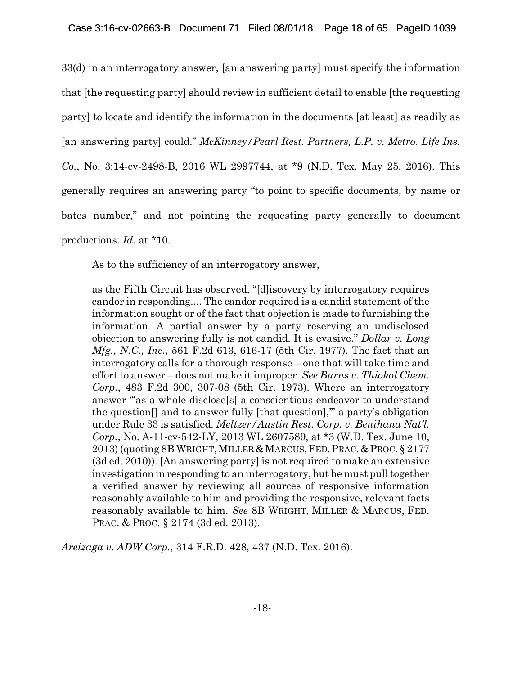33(d) in an interrogatory answer, [an answering party] must specify the information that [the requesting party] should review in sufficient detail to enable [the requesting party] to locate and identify the information in the documents [at least] as readily as [an answering party] could." *McKinney/Pearl Rest. Partners, L.P. v. Metro. Life Ins. Co.*, No. 3:14-cv-2498-B, 2016 WL 2997744, at \*9 (N.D. Tex. May 25, 2016). This generally requires an answering party "to point to specific documents, by name or bates number," and not pointing the requesting party generally to document productions. *Id.* at \*10.

As to the sufficiency of an interrogatory answer,

as the Fifth Circuit has observed, "[d]iscovery by interrogatory requires candor in responding.... The candor required is a candid statement of the information sought or of the fact that objection is made to furnishing the information. A partial answer by a party reserving an undisclosed objection to answering fully is not candid. It is evasive." *Dollar v. Long Mfg., N.C., Inc.*, 561 F.2d 613, 616-17 (5th Cir. 1977). The fact that an interrogatory calls for a thorough response – one that will take time and effort to answer – does not make it improper. *See Burns v. Thiokol Chem. Corp.*, 483 F.2d 300, 307-08 (5th Cir. 1973). Where an interrogatory answer "'as a whole disclose[s] a conscientious endeavor to understand the question[] and to answer fully [that question],'" a party's obligation under Rule 33 is satisfied. *Meltzer/Austin Rest. Corp. v. Benihana Nat'l. Corp.*, No. A-11-cv-542-LY, 2013 WL 2607589, at \*3 (W.D. Tex. June 10, 2013) (quoting 8B WRIGHT, MILLER & MARCUS, FED. PRAC. & PROC. § 2177 (3d ed. 2010)). [An answering party] is not required to make an extensive investigation in responding to an interrogatory, but he must pull together a verified answer by reviewing all sources of responsive information reasonably available to him and providing the responsive, relevant facts reasonably available to him. *See* 8B WRIGHT, MILLER & MARCUS, FED. PRAC. & PROC. § 2174 (3d ed. 2013).

*Areizaga v. ADW Corp.*, 314 F.R.D. 428, 437 (N.D. Tex. 2016).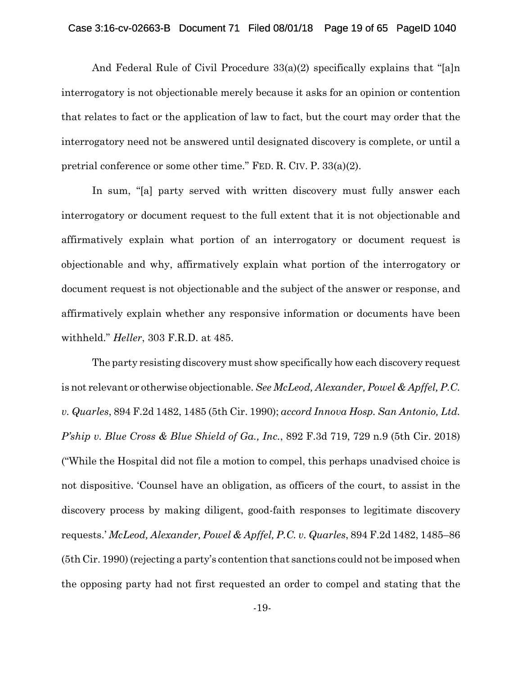## Case 3:16-cv-02663-B Document 71 Filed 08/01/18 Page 19 of 65 PageID 1040

And Federal Rule of Civil Procedure 33(a)(2) specifically explains that "[a]n interrogatory is not objectionable merely because it asks for an opinion or contention that relates to fact or the application of law to fact, but the court may order that the interrogatory need not be answered until designated discovery is complete, or until a pretrial conference or some other time." FED. R. CIV. P. 33(a)(2).

In sum, "[a] party served with written discovery must fully answer each interrogatory or document request to the full extent that it is not objectionable and affirmatively explain what portion of an interrogatory or document request is objectionable and why, affirmatively explain what portion of the interrogatory or document request is not objectionable and the subject of the answer or response, and affirmatively explain whether any responsive information or documents have been withheld." *Heller*, 303 F.R.D. at 485.

The party resisting discovery must show specifically how each discovery request is not relevant or otherwise objectionable. *See McLeod, Alexander, Powel & Apffel, P.C. v. Quarles*, 894 F.2d 1482, 1485 (5th Cir. 1990); *accord Innova Hosp. San Antonio, Ltd. P'ship v. Blue Cross & Blue Shield of Ga., Inc.*, 892 F.3d 719, 729 n.9 (5th Cir. 2018) ("While the Hospital did not file a motion to compel, this perhaps unadvised choice is not dispositive. 'Counsel have an obligation, as officers of the court, to assist in the discovery process by making diligent, good-faith responses to legitimate discovery requests.' *McLeod, Alexander, Powel & Apffel, P.C. v. Quarles*, 894 F.2d 1482, 1485–86 (5th Cir. 1990) (rejecting a party's contention that sanctions could not be imposed when the opposing party had not first requested an order to compel and stating that the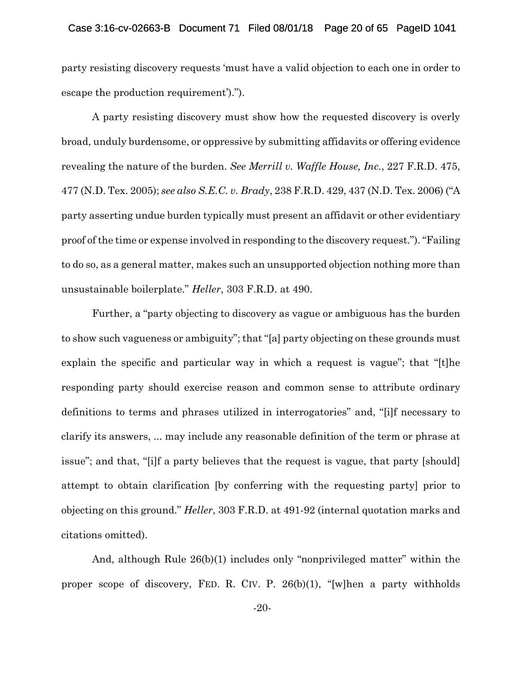## Case 3:16-cv-02663-B Document 71 Filed 08/01/18 Page 20 of 65 PageID 1041

party resisting discovery requests 'must have a valid objection to each one in order to escape the production requirement').").

A party resisting discovery must show how the requested discovery is overly broad, unduly burdensome, or oppressive by submitting affidavits or offering evidence revealing the nature of the burden. *See Merrill v. Waffle House, Inc.*, 227 F.R.D. 475, 477 (N.D. Tex. 2005); *see also S.E.C. v. Brady*, 238 F.R.D. 429, 437 (N.D. Tex. 2006) ("A party asserting undue burden typically must present an affidavit or other evidentiary proof of the time or expense involved in responding to the discovery request."). "Failing to do so, as a general matter, makes such an unsupported objection nothing more than unsustainable boilerplate." *Heller*, 303 F.R.D. at 490.

Further, a "party objecting to discovery as vague or ambiguous has the burden to show such vagueness or ambiguity"; that "[a] party objecting on these grounds must explain the specific and particular way in which a request is vague"; that "[t]he responding party should exercise reason and common sense to attribute ordinary definitions to terms and phrases utilized in interrogatories" and, "[i]f necessary to clarify its answers, ... may include any reasonable definition of the term or phrase at issue"; and that, "[i]f a party believes that the request is vague, that party [should] attempt to obtain clarification [by conferring with the requesting party] prior to objecting on this ground." *Heller*, 303 F.R.D. at 491-92 (internal quotation marks and citations omitted).

And, although Rule 26(b)(1) includes only "nonprivileged matter" within the proper scope of discovery, FED. R. CIV. P. 26(b)(1), "[w]hen a party withholds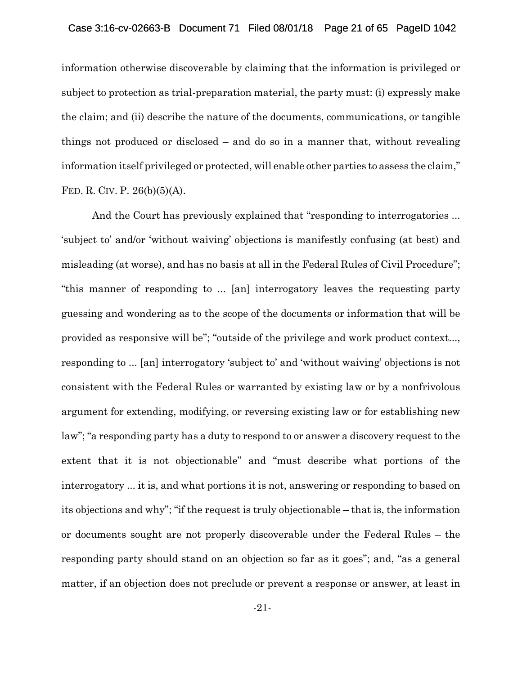## Case 3:16-cv-02663-B Document 71 Filed 08/01/18 Page 21 of 65 PageID 1042

information otherwise discoverable by claiming that the information is privileged or subject to protection as trial-preparation material, the party must: (i) expressly make the claim; and (ii) describe the nature of the documents, communications, or tangible things not produced or disclosed – and do so in a manner that, without revealing information itself privileged or protected, will enable other parties to assess the claim," FED. R. CIV. P. 26(b)(5)(A).

And the Court has previously explained that "responding to interrogatories... 'subject to' and/or 'without waiving' objections is manifestly confusing (at best) and misleading (at worse), and has no basis at all in the Federal Rules of Civil Procedure"; "this manner of responding to ... [an] interrogatory leaves the requesting party guessing and wondering as to the scope of the documents or information that will be provided as responsive will be"; "outside of the privilege and work product context..., responding to ... [an] interrogatory 'subject to' and 'without waiving' objections is not consistent with the Federal Rules or warranted by existing law or by a nonfrivolous argument for extending, modifying, or reversing existing law or for establishing new law"; "a responding party has a duty to respond to or answer a discovery request to the extent that it is not objectionable" and "must describe what portions of the interrogatory ... it is, and what portions it is not, answering or responding to based on its objections and why"; "if the request is truly objectionable – that is, the information or documents sought are not properly discoverable under the Federal Rules – the responding party should stand on an objection so far as it goes"; and, "as a general matter, if an objection does not preclude or prevent a response or answer, at least in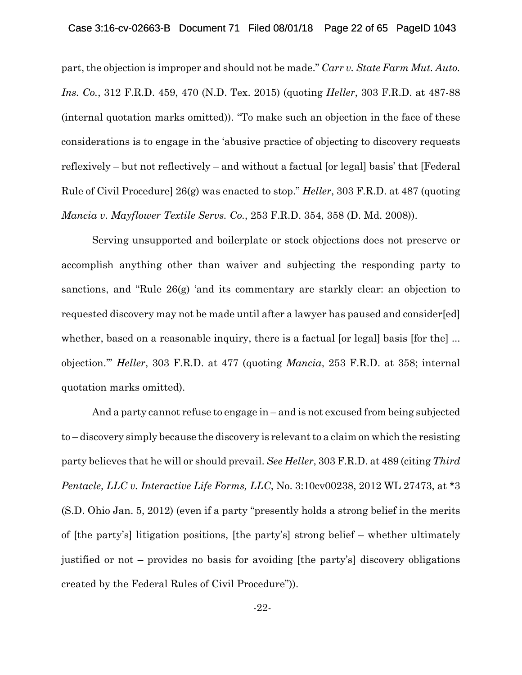## Case 3:16-cv-02663-B Document 71 Filed 08/01/18 Page 22 of 65 PageID 1043

part, the objection is improper and should not be made." *Carr v. State Farm Mut. Auto. Ins. Co.*, 312 F.R.D. 459, 470 (N.D. Tex. 2015) (quoting *Heller*, 303 F.R.D. at 487-88 (internal quotation marks omitted)). "To make such an objection in the face of these considerations is to engage in the 'abusive practice of objecting to discovery requests reflexively – but not reflectively – and without a factual [or legal] basis' that [Federal Rule of Civil Procedure] 26(g) was enacted to stop." *Heller*, 303 F.R.D. at 487 (quoting *Mancia v. Mayflower Textile Servs. Co.*, 253 F.R.D. 354, 358 (D. Md. 2008)).

Serving unsupported and boilerplate or stock objections does not preserve or accomplish anything other than waiver and subjecting the responding party to sanctions, and "Rule  $26(g)$  'and its commentary are starkly clear: an objection to requested discovery may not be made until after a lawyer has paused and consider[ed] whether, based on a reasonable inquiry, there is a factual [or legal] basis [for the] ... objection.'" *Heller*, 303 F.R.D. at 477 (quoting *Mancia*, 253 F.R.D. at 358; internal quotation marks omitted).

And a party cannot refuse to engage in – and is not excused from being subjected to – discovery simply because the discovery is relevant to a claim on which the resisting party believes that he will or should prevail. *See Heller*, 303 F.R.D. at 489 (citing *Third Pentacle, LLC v. Interactive Life Forms, LLC*, No. 3:10cv00238, 2012 WL 27473, at \*3 (S.D. Ohio Jan. 5, 2012) (even if a party "presently holds a strong belief in the merits of [the party's] litigation positions, [the party's] strong belief – whether ultimately justified or not – provides no basis for avoiding [the party's] discovery obligations created by the Federal Rules of Civil Procedure")).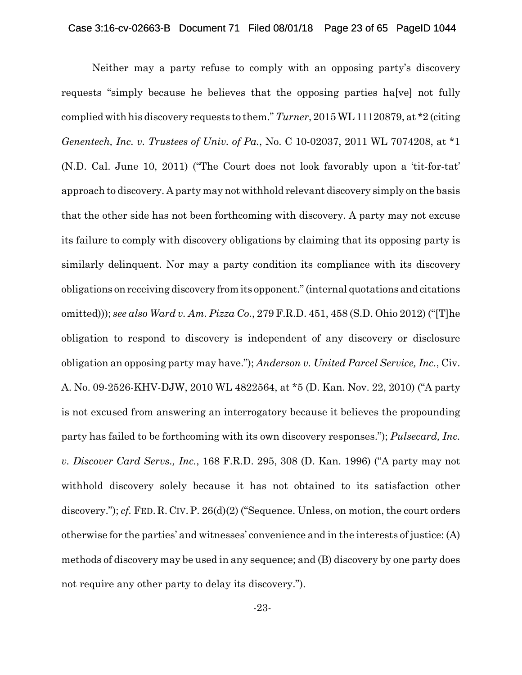## Case 3:16-cv-02663-B Document 71 Filed 08/01/18 Page 23 of 65 PageID 1044

Neither may a party refuse to comply with an opposing party's discovery requests "simply because he believes that the opposing parties ha[ve] not fully complied with his discovery requests to them." *Turner*, 2015 WL 11120879, at \*2 (citing *Genentech, Inc. v. Trustees of Univ. of Pa.*, No. C 10-02037, 2011 WL 7074208, at \*1 (N.D. Cal. June 10, 2011) ("The Court does not look favorably upon a 'tit-for-tat' approach to discovery. A party may not withhold relevant discovery simply on the basis that the other side has not been forthcoming with discovery. A party may not excuse its failure to comply with discovery obligations by claiming that its opposing party is similarly delinquent. Nor may a party condition its compliance with its discovery obligations on receiving discovery from its opponent." (internal quotations and citations omitted))); *see also Ward v. Am. Pizza Co.*, 279 F.R.D. 451, 458 (S.D. Ohio 2012) ("[T]he obligation to respond to discovery is independent of any discovery or disclosure obligation an opposing party may have."); *Anderson v. United Parcel Service, Inc.*, Civ. A. No. 09-2526-KHV-DJW, 2010 WL 4822564, at \*5 (D. Kan. Nov. 22, 2010) ("A party is not excused from answering an interrogatory because it believes the propounding party has failed to be forthcoming with its own discovery responses."); *Pulsecard, Inc. v. Discover Card Servs., Inc.*, 168 F.R.D. 295, 308 (D. Kan. 1996) ("A party may not withhold discovery solely because it has not obtained to its satisfaction other discovery."); *cf.* FED. R. CIV. P. 26(d)(2) ("Sequence. Unless, on motion, the court orders otherwise for the parties' and witnesses' convenience and in the interests of justice: (A) methods of discovery may be used in any sequence; and (B) discovery by one party does not require any other party to delay its discovery.").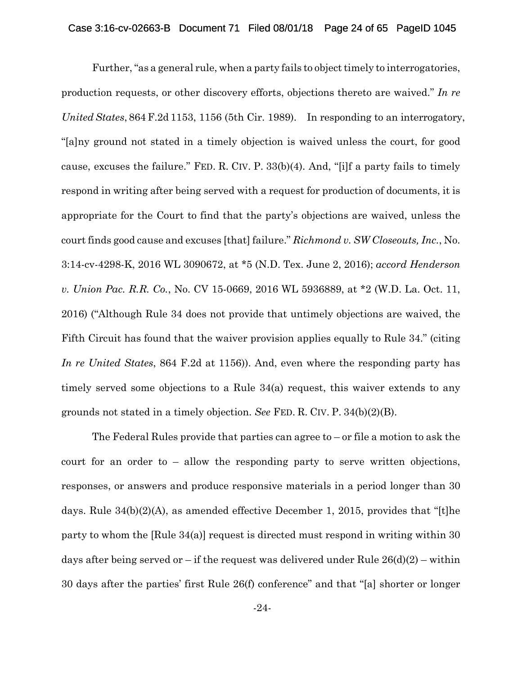## Case 3:16-cv-02663-B Document 71 Filed 08/01/18 Page 24 of 65 PageID 1045

Further, "as a general rule, when a party fails to object timely to interrogatories, production requests, or other discovery efforts, objections thereto are waived." *In re United States*, 864 F.2d 1153, 1156 (5th Cir. 1989). In responding to an interrogatory, "[a]ny ground not stated in a timely objection is waived unless the court, for good cause, excuses the failure." FED. R. CIV. P. 33(b)(4). And, "[i]f a party fails to timely respond in writing after being served with a request for production of documents, it is appropriate for the Court to find that the party's objections are waived, unless the court finds good cause and excuses [that] failure." *Richmond v. SW Closeouts, Inc.*, No. 3:14-cv-4298-K, 2016 WL 3090672, at \*5 (N.D. Tex. June 2, 2016); *accord Henderson v. Union Pac. R.R. Co.*, No. CV 15-0669, 2016 WL 5936889, at \*2 (W.D. La. Oct. 11, 2016) ("Although Rule 34 does not provide that untimely objections are waived, the Fifth Circuit has found that the waiver provision applies equally to Rule 34." (citing *In re United States*, 864 F.2d at 1156)). And, even where the responding party has timely served some objections to a Rule 34(a) request, this waiver extends to any grounds not stated in a timely objection. *See* FED. R. CIV. P. 34(b)(2)(B).

The Federal Rules provide that parties can agree to – or file a motion to ask the court for an order to – allow the responding party to serve written objections, responses, or answers and produce responsive materials in a period longer than 30 days. Rule 34(b)(2)(A), as amended effective December 1, 2015, provides that "[t]he party to whom the [Rule 34(a)] request is directed must respond in writing within 30 days after being served or – if the request was delivered under Rule  $26(d)(2)$  – within 30 days after the parties' first Rule 26(f) conference" and that "[a] shorter or longer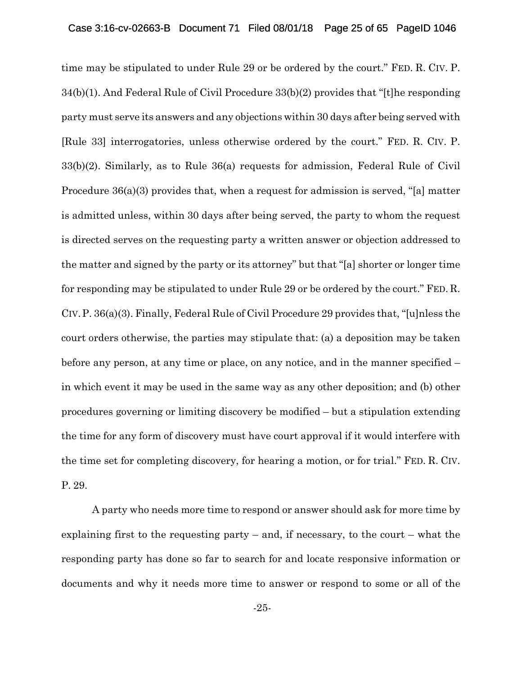## Case 3:16-cv-02663-B Document 71 Filed 08/01/18 Page 25 of 65 PageID 1046

time may be stipulated to under Rule 29 or be ordered by the court." FED. R. CIV. P. 34(b)(1). And Federal Rule of Civil Procedure 33(b)(2) provides that "[t]he responding party must serve its answers and any objections within 30 days after being served with [Rule 33] interrogatories, unless otherwise ordered by the court." FED. R. CIV. P. 33(b)(2). Similarly, as to Rule 36(a) requests for admission, Federal Rule of Civil Procedure 36(a)(3) provides that, when a request for admission is served, "[a] matter is admitted unless, within 30 days after being served, the party to whom the request is directed serves on the requesting party a written answer or objection addressed to the matter and signed by the party or its attorney" but that "[a] shorter or longer time for responding may be stipulated to under Rule 29 or be ordered by the court." FED. R. CIV.P. 36(a)(3). Finally, Federal Rule of Civil Procedure 29 provides that, "[u]nless the court orders otherwise, the parties may stipulate that: (a) a deposition may be taken before any person, at any time or place, on any notice, and in the manner specified – in which event it may be used in the same way as any other deposition; and (b) other procedures governing or limiting discovery be modified – but a stipulation extending the time for any form of discovery must have court approval if it would interfere with the time set for completing discovery, for hearing a motion, or for trial." FED. R. CIV. P. 29.

A party who needs more time to respond or answer should ask for more time by explaining first to the requesting party – and, if necessary, to the court – what the responding party has done so far to search for and locate responsive information or documents and why it needs more time to answer or respond to some or all of the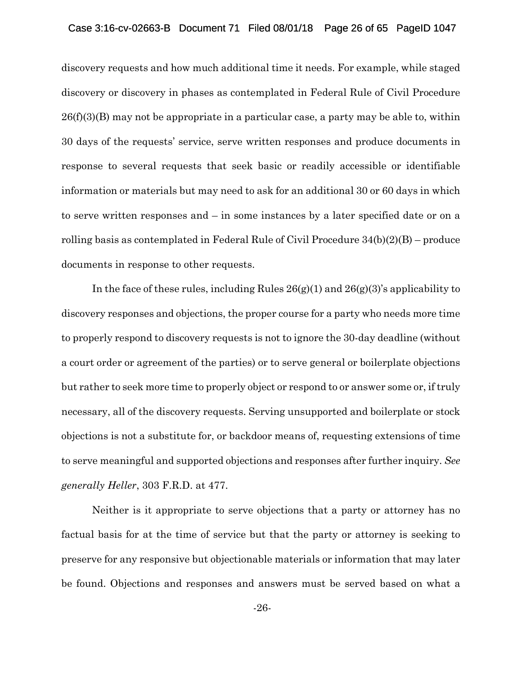## Case 3:16-cv-02663-B Document 71 Filed 08/01/18 Page 26 of 65 PageID 1047

discovery requests and how much additional time it needs. For example, while staged discovery or discovery in phases as contemplated in Federal Rule of Civil Procedure  $26(f)(3)(B)$  may not be appropriate in a particular case, a party may be able to, within 30 days of the requests' service, serve written responses and produce documents in response to several requests that seek basic or readily accessible or identifiable information or materials but may need to ask for an additional 30 or 60 days in which to serve written responses and – in some instances by a later specified date or on a rolling basis as contemplated in Federal Rule of Civil Procedure 34(b)(2)(B) – produce documents in response to other requests.

In the face of these rules, including Rules  $26(g)(1)$  and  $26(g)(3)$ 's applicability to discovery responses and objections, the proper course for a party who needs more time to properly respond to discovery requests is not to ignore the 30-day deadline (without a court order or agreement of the parties) or to serve general or boilerplate objections but rather to seek more time to properly object or respond to or answer some or, if truly necessary, all of the discovery requests. Serving unsupported and boilerplate or stock objections is not a substitute for, or backdoor means of, requesting extensions of time to serve meaningful and supported objections and responses after further inquiry. *See generally Heller*, 303 F.R.D. at 477.

Neither is it appropriate to serve objections that a party or attorney has no factual basis for at the time of service but that the party or attorney is seeking to preserve for any responsive but objectionable materials or information that may later be found. Objections and responses and answers must be served based on what a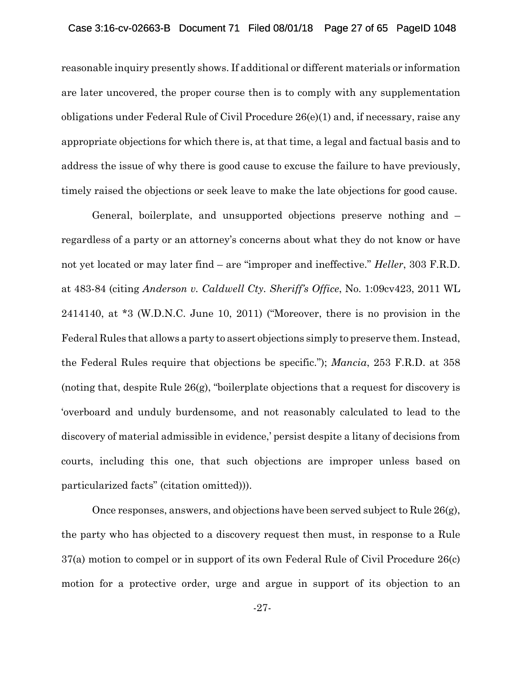## Case 3:16-cv-02663-B Document 71 Filed 08/01/18 Page 27 of 65 PageID 1048

reasonable inquiry presently shows. If additional or different materials or information are later uncovered, the proper course then is to comply with any supplementation obligations under Federal Rule of Civil Procedure 26(e)(1) and, if necessary, raise any appropriate objections for which there is, at that time, a legal and factual basis and to address the issue of why there is good cause to excuse the failure to have previously, timely raised the objections or seek leave to make the late objections for good cause.

General, boilerplate, and unsupported objections preserve nothing and – regardless of a party or an attorney's concerns about what they do not know or have not yet located or may later find – are "improper and ineffective." *Heller*, 303 F.R.D. at 483-84 (citing *Anderson v. Caldwell Cty. Sheriff's Office*, No. 1:09cv423, 2011 WL 2414140, at \*3 (W.D.N.C. June 10, 2011) ("Moreover, there is no provision in the Federal Rules that allows a party to assert objections simply to preserve them. Instead, the Federal Rules require that objections be specific."); *Mancia*, 253 F.R.D. at 358 (noting that, despite Rule  $26(g)$ , "boilerplate objections that a request for discovery is 'overboard and unduly burdensome, and not reasonably calculated to lead to the discovery of material admissible in evidence,' persist despite a litany of decisions from courts, including this one, that such objections are improper unless based on particularized facts" (citation omitted))).

Once responses, answers, and objections have been served subject to Rule  $26(g)$ , the party who has objected to a discovery request then must, in response to a Rule 37(a) motion to compel or in support of its own Federal Rule of Civil Procedure 26(c) motion for a protective order, urge and argue in support of its objection to an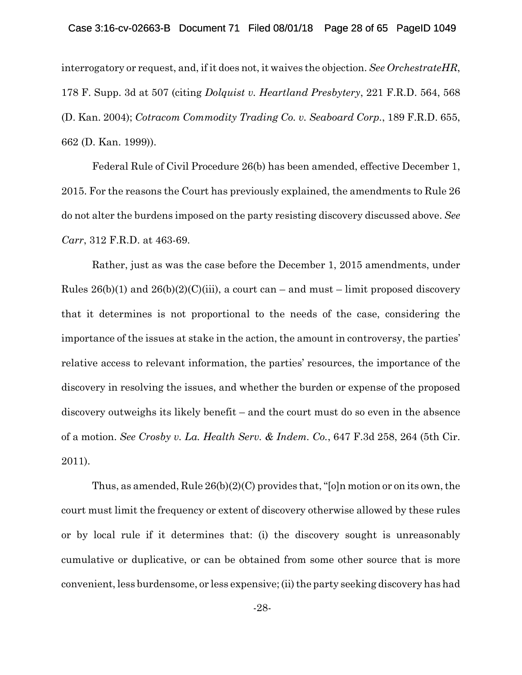## Case 3:16-cv-02663-B Document 71 Filed 08/01/18 Page 28 of 65 PageID 1049

interrogatory or request, and, if it does not, it waives the objection. *See OrchestrateHR*, 178 F. Supp. 3d at 507 (citing *Dolquist v. Heartland Presbytery*, 221 F.R.D. 564, 568 (D. Kan. 2004); *Cotracom Commodity Trading Co. v. Seaboard Corp.*, 189 F.R.D. 655, 662 (D. Kan. 1999)).

Federal Rule of Civil Procedure 26(b) has been amended, effective December 1, 2015. For the reasons the Court has previously explained, the amendments to Rule 26 do not alter the burdens imposed on the party resisting discovery discussed above. *See Carr*, 312 F.R.D. at 463-69.

Rather, just as was the case before the December 1, 2015 amendments, under Rules  $26(b)(1)$  and  $26(b)(2)(C)(iii)$ , a court can – and must – limit proposed discovery that it determines is not proportional to the needs of the case, considering the importance of the issues at stake in the action, the amount in controversy, the parties' relative access to relevant information, the parties' resources, the importance of the discovery in resolving the issues, and whether the burden or expense of the proposed discovery outweighs its likely benefit – and the court must do so even in the absence of a motion. *See Crosby v. La. Health Serv. & Indem. Co.*, 647 F.3d 258, 264 (5th Cir. 2011).

Thus, as amended, Rule 26(b)(2)(C) provides that, "[o]n motion or on its own, the court must limit the frequency or extent of discovery otherwise allowed by these rules or by local rule if it determines that: (i) the discovery sought is unreasonably cumulative or duplicative, or can be obtained from some other source that is more convenient, less burdensome, or less expensive; (ii) the party seeking discovery has had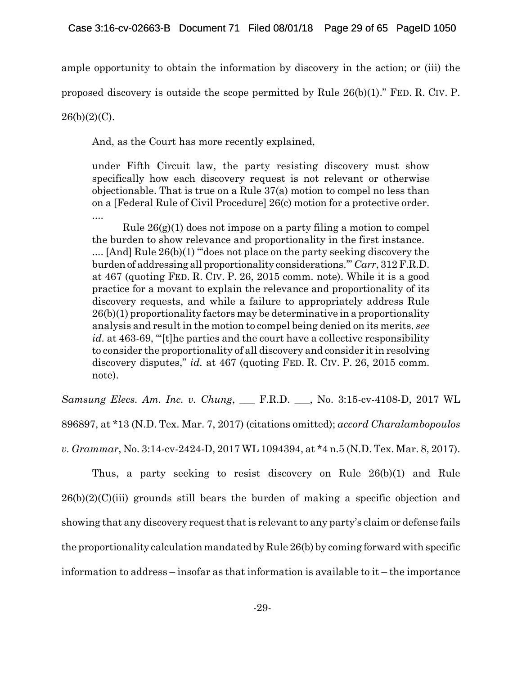ample opportunity to obtain the information by discovery in the action; or (iii) the

proposed discovery is outside the scope permitted by Rule 26(b)(1)." FED. R. CIV. P.

 $26(b)(2)(C)$ .

And, as the Court has more recently explained,

under Fifth Circuit law, the party resisting discovery must show specifically how each discovery request is not relevant or otherwise objectionable. That is true on a Rule 37(a) motion to compel no less than on a [Federal Rule of Civil Procedure] 26(c) motion for a protective order. ....

Rule  $26(g)(1)$  does not impose on a party filing a motion to compel the burden to show relevance and proportionality in the first instance. .... [And] Rule 26(b)(1) "'does not place on the party seeking discovery the burden of addressing all proportionality considerations.'" *Carr*, 312 F.R.D. at 467 (quoting FED. R. CIV. P. 26, 2015 comm. note). While it is a good practice for a movant to explain the relevance and proportionality of its discovery requests, and while a failure to appropriately address Rule 26(b)(1) proportionality factors may be determinative in a proportionality analysis and result in the motion to compel being denied on its merits, *see id.* at 463-69, "'[t]he parties and the court have a collective responsibility to consider the proportionality of all discovery and consider it in resolving discovery disputes," *id.* at 467 (quoting FED. R. CIV. P. 26, 2015 comm. note).

*Samsung Elecs. Am. Inc. v. Chung*, \_\_\_ F.R.D. \_\_\_, No. 3:15-cv-4108-D, 2017 WL 896897, at \*13 (N.D. Tex. Mar. 7, 2017) (citations omitted); *accord Charalambopoulos v. Grammar*, No. 3:14-cv-2424-D, 2017 WL 1094394, at \*4 n.5 (N.D. Tex. Mar. 8, 2017).

Thus, a party seeking to resist discovery on Rule 26(b)(1) and Rule  $26(b)(2)(C)(iii)$  grounds still bears the burden of making a specific objection and showing that any discovery request that is relevant to any party's claim or defense fails the proportionality calculation mandated by Rule 26(b) by coming forward with specific information to address – insofar as that information is available to it – the importance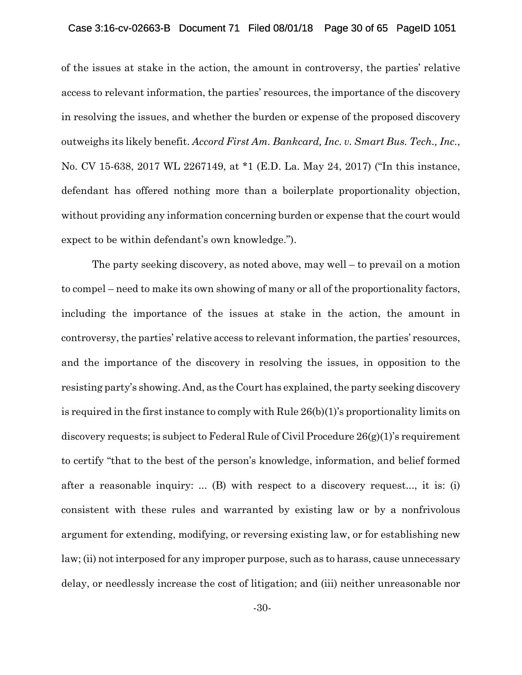## Case 3:16-cv-02663-B Document 71 Filed 08/01/18 Page 30 of 65 PageID 1051

of the issues at stake in the action, the amount in controversy, the parties' relative access to relevant information, the parties' resources, the importance of the discovery in resolving the issues, and whether the burden or expense of the proposed discovery outweighs its likely benefit. *Accord First Am. Bankcard, Inc. v. Smart Bus. Tech., Inc.*, No. CV 15-638, 2017 WL 2267149, at \*1 (E.D. La. May 24, 2017) ("In this instance, defendant has offered nothing more than a boilerplate proportionality objection, without providing any information concerning burden or expense that the court would expect to be within defendant's own knowledge.").

The party seeking discovery, as noted above, may well – to prevail on a motion to compel – need to make its own showing of many or all of the proportionality factors, including the importance of the issues at stake in the action, the amount in controversy, the parties' relative access to relevant information, the parties' resources, and the importance of the discovery in resolving the issues, in opposition to the resisting party's showing. And, as the Court has explained, the party seeking discovery is required in the first instance to comply with Rule 26(b)(1)'s proportionality limits on discovery requests; is subject to Federal Rule of Civil Procedure 26(g)(1)'s requirement to certify "that to the best of the person's knowledge, information, and belief formed after a reasonable inquiry: ... (B) with respect to a discovery request..., it is: (i) consistent with these rules and warranted by existing law or by a nonfrivolous argument for extending, modifying, or reversing existing law, or for establishing new law; (ii) not interposed for any improper purpose, such as to harass, cause unnecessary delay, or needlessly increase the cost of litigation; and (iii) neither unreasonable nor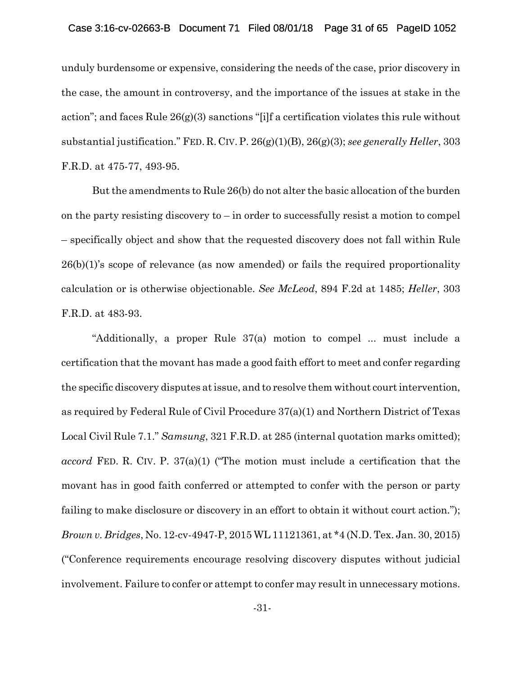## Case 3:16-cv-02663-B Document 71 Filed 08/01/18 Page 31 of 65 PageID 1052

unduly burdensome or expensive, considering the needs of the case, prior discovery in the case, the amount in controversy, and the importance of the issues at stake in the action"; and faces Rule  $26(g)(3)$  sanctions "[i]f a certification violates this rule without substantial justification." FED. R. CIV.P. 26(g)(1)(B), 26(g)(3); *see generally Heller*, 303 F.R.D. at 475-77, 493-95.

But the amendments to Rule 26(b) do not alter the basic allocation of the burden on the party resisting discovery to  $-\text{in}$  order to successfully resist a motion to compel – specifically object and show that the requested discovery does not fall within Rule 26(b)(1)'s scope of relevance (as now amended) or fails the required proportionality calculation or is otherwise objectionable. *See McLeod*, 894 F.2d at 1485; *Heller*, 303 F.R.D. at 483-93.

"Additionally, a proper Rule 37(a) motion to compel ... must include a certification that the movant has made a good faith effort to meet and confer regarding the specific discovery disputes at issue, and to resolve them without court intervention, as required by Federal Rule of Civil Procedure 37(a)(1) and Northern District of Texas Local Civil Rule 7.1." *Samsung*, 321 F.R.D. at 285 (internal quotation marks omitted); *accord* FED. R. CIV. P. 37(a)(1) ("The motion must include a certification that the movant has in good faith conferred or attempted to confer with the person or party failing to make disclosure or discovery in an effort to obtain it without court action."); *Brown v. Bridges*, No. 12-cv-4947-P, 2015 WL 11121361, at \*4 (N.D. Tex. Jan. 30, 2015) ("Conference requirements encourage resolving discovery disputes without judicial involvement. Failure to confer or attempt to confer may result in unnecessary motions.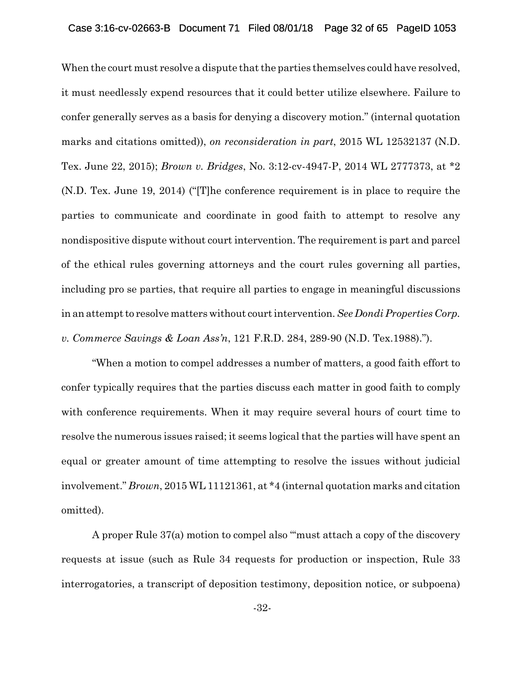## Case 3:16-cv-02663-B Document 71 Filed 08/01/18 Page 32 of 65 PageID 1053

When the court must resolve a dispute that the parties themselves could have resolved, it must needlessly expend resources that it could better utilize elsewhere. Failure to confer generally serves as a basis for denying a discovery motion." (internal quotation marks and citations omitted)), *on reconsideration in part*, 2015 WL 12532137 (N.D. Tex. June 22, 2015); *Brown v. Bridges*, No. 3:12-cv-4947-P, 2014 WL 2777373, at \*2 (N.D. Tex. June 19, 2014) ("[T]he conference requirement is in place to require the parties to communicate and coordinate in good faith to attempt to resolve any nondispositive dispute without court intervention. The requirement is part and parcel of the ethical rules governing attorneys and the court rules governing all parties, including pro se parties, that require all parties to engage in meaningful discussions in an attempt to resolve matters without court intervention. *See Dondi Properties Corp. v. Commerce Savings & Loan Ass'n*, 121 F.R.D. 284, 289-90 (N.D. Tex.1988).").

"When a motion to compel addresses a number of matters, a good faith effort to confer typically requires that the parties discuss each matter in good faith to comply with conference requirements. When it may require several hours of court time to resolve the numerous issues raised; it seems logical that the parties will have spent an equal or greater amount of time attempting to resolve the issues without judicial involvement." *Brown*, 2015 WL 11121361, at \*4 (internal quotation marks and citation omitted).

A proper Rule 37(a) motion to compel also "'must attach a copy of the discovery requests at issue (such as Rule 34 requests for production or inspection, Rule 33 interrogatories, a transcript of deposition testimony, deposition notice, or subpoena)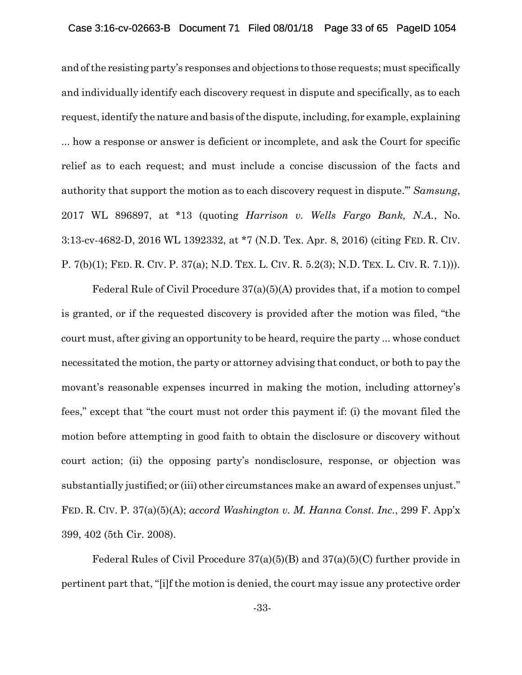## Case 3:16-cv-02663-B Document 71 Filed 08/01/18 Page 33 of 65 PageID 1054

and of the resisting party's responses and objections to those requests; must specifically and individually identify each discovery request in dispute and specifically, as to each request, identify the nature and basis of the dispute, including, for example, explaining ... how a response or answer is deficient or incomplete, and ask the Court for specific relief as to each request; and must include a concise discussion of the facts and authority that support the motion as to each discovery request in dispute.'" *Samsung*, 2017 WL 896897, at \*13 (quoting *Harrison v. Wells Fargo Bank, N.A.*, No. 3:13-cv-4682-D, 2016 WL 1392332, at \*7 (N.D. Tex. Apr. 8, 2016) (citing FED. R. CIV. P. 7(b)(1); FED. R. CIV. P. 37(a); N.D. TEX. L. CIV. R. 5.2(3); N.D. TEX. L. CIV. R. 7.1))).

Federal Rule of Civil Procedure 37(a)(5)(A) provides that, if a motion to compel is granted, or if the requested discovery is provided after the motion was filed, "the court must, after giving an opportunity to be heard, require the party ... whose conduct necessitated the motion, the party or attorney advising that conduct, or both to pay the movant's reasonable expenses incurred in making the motion, including attorney's fees," except that "the court must not order this payment if: (i) the movant filed the motion before attempting in good faith to obtain the disclosure or discovery without court action; (ii) the opposing party's nondisclosure, response, or objection was substantially justified; or (iii) other circumstances make an award of expenses unjust." FED. R. CIV. P. 37(a)(5)(A); *accord Washington v. M. Hanna Const. Inc.*, 299 F. App'x 399, 402 (5th Cir. 2008).

Federal Rules of Civil Procedure 37(a)(5)(B) and 37(a)(5)(C) further provide in pertinent part that, "[i]f the motion is denied, the court may issue any protective order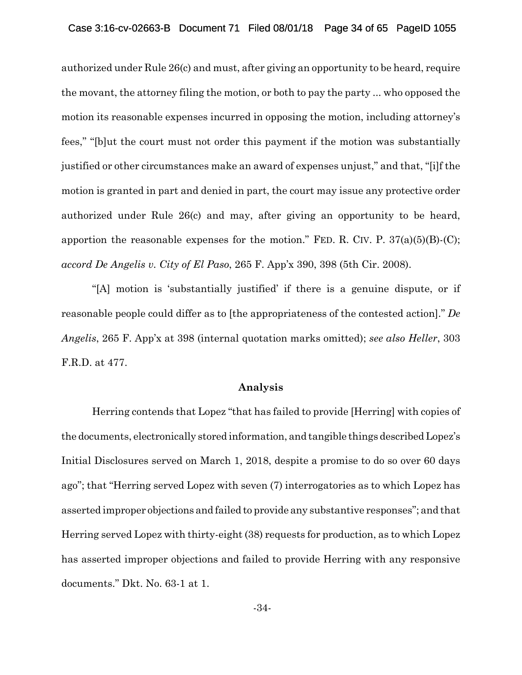## Case 3:16-cv-02663-B Document 71 Filed 08/01/18 Page 34 of 65 PageID 1055

authorized under Rule 26(c) and must, after giving an opportunity to be heard, require the movant, the attorney filing the motion, or both to pay the party ... who opposed the motion its reasonable expenses incurred in opposing the motion, including attorney's fees," "[b]ut the court must not order this payment if the motion was substantially justified or other circumstances make an award of expenses unjust," and that, "[i]f the motion is granted in part and denied in part, the court may issue any protective order authorized under Rule 26(c) and may, after giving an opportunity to be heard, apportion the reasonable expenses for the motion." FED. R. CIV. P.  $37(a)(5)(B)-(C)$ ; *accord De Angelis v. City of El Paso*, 265 F. App'x 390, 398 (5th Cir. 2008).

"[A] motion is 'substantially justified' if there is a genuine dispute, or if reasonable people could differ as to [the appropriateness of the contested action]." *De Angelis*, 265 F. App'x at 398 (internal quotation marks omitted); *see also Heller*, 303 F.R.D. at 477.

## **Analysis**

Herring contends that Lopez "that has failed to provide [Herring] with copies of the documents, electronically stored information, and tangible things described Lopez's Initial Disclosures served on March 1, 2018, despite a promise to do so over 60 days ago"; that "Herring served Lopez with seven (7) interrogatories as to which Lopez has asserted improper objections and failed to provide any substantive responses"; and that Herring served Lopez with thirty-eight (38) requests for production, as to which Lopez has asserted improper objections and failed to provide Herring with any responsive documents." Dkt. No. 63-1 at 1.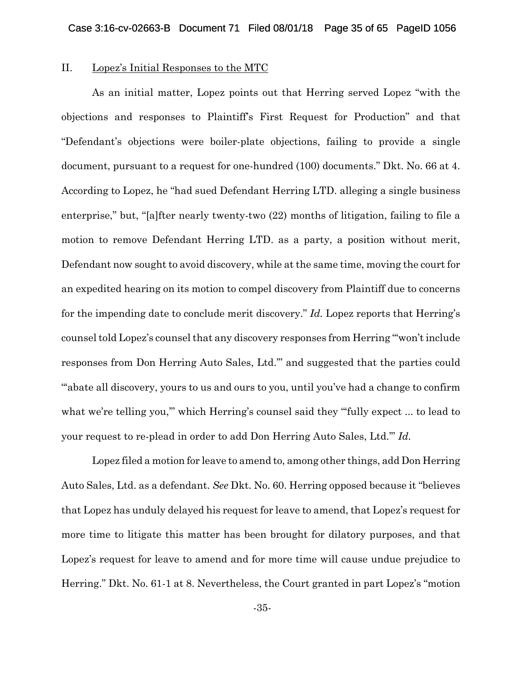## II. Lopez's Initial Responses to the MTC

As an initial matter, Lopez points out that Herring served Lopez "with the objections and responses to Plaintiff's First Request for Production" and that "Defendant's objections were boiler-plate objections, failing to provide a single document, pursuant to a request for one-hundred (100) documents." Dkt. No. 66 at 4. According to Lopez, he "had sued Defendant Herring LTD. alleging a single business enterprise," but, "[a]fter nearly twenty-two (22) months of litigation, failing to file a motion to remove Defendant Herring LTD. as a party, a position without merit, Defendant now sought to avoid discovery, while at the same time, moving the court for an expedited hearing on its motion to compel discovery from Plaintiff due to concerns for the impending date to conclude merit discovery." *Id.* Lopez reports that Herring's counsel told Lopez's counsel that any discovery responses from Herring "'won't include responses from Don Herring Auto Sales, Ltd.'" and suggested that the parties could "abate all discovery, yours to us and ours to you, until you've had a change to confirm what we're telling you," which Herring's counsel said they "fully expect ... to lead to your request to re-plead in order to add Don Herring Auto Sales, Ltd.'" *Id.*

Lopez filed a motion for leave to amend to, among other things, add Don Herring Auto Sales, Ltd. as a defendant. *See* Dkt. No. 60. Herring opposed because it "believes that Lopez has unduly delayed his request for leave to amend, that Lopez's request for more time to litigate this matter has been brought for dilatory purposes, and that Lopez's request for leave to amend and for more time will cause undue prejudice to Herring." Dkt. No. 61-1 at 8. Nevertheless, the Court granted in part Lopez's "motion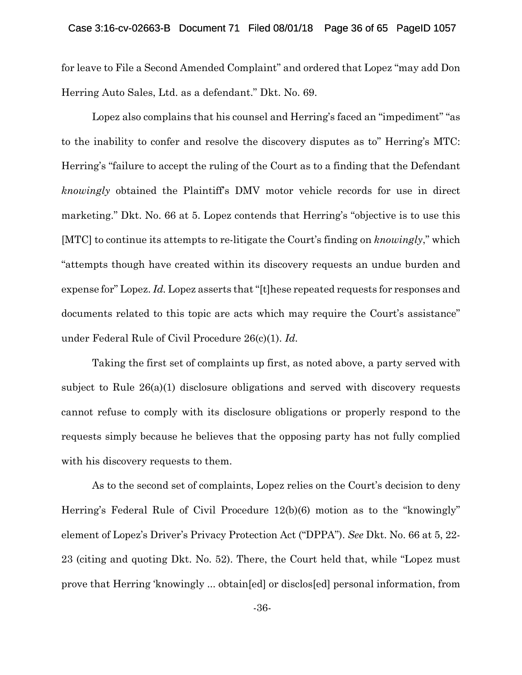for leave to File a Second Amended Complaint" and ordered that Lopez "may add Don Herring Auto Sales, Ltd. as a defendant." Dkt. No. 69.

Lopez also complains that his counsel and Herring's faced an "impediment" "as to the inability to confer and resolve the discovery disputes as to" Herring's MTC: Herring's "failure to accept the ruling of the Court as to a finding that the Defendant *knowingly* obtained the Plaintiff's DMV motor vehicle records for use in direct marketing." Dkt. No. 66 at 5. Lopez contends that Herring's "objective is to use this [MTC] to continue its attempts to re-litigate the Court's finding on *knowingly*," which "attempts though have created within its discovery requests an undue burden and expense for" Lopez. *Id.* Lopez asserts that "[t]hese repeated requests for responses and documents related to this topic are acts which may require the Court's assistance" under Federal Rule of Civil Procedure 26(c)(1). *Id.*

Taking the first set of complaints up first, as noted above, a party served with subject to Rule 26(a)(1) disclosure obligations and served with discovery requests cannot refuse to comply with its disclosure obligations or properly respond to the requests simply because he believes that the opposing party has not fully complied with his discovery requests to them.

As to the second set of complaints, Lopez relies on the Court's decision to deny Herring's Federal Rule of Civil Procedure 12(b)(6) motion as to the "knowingly" element of Lopez's Driver's Privacy Protection Act ("DPPA"). *See* Dkt. No. 66 at 5, 22- 23 (citing and quoting Dkt. No. 52). There, the Court held that, while "Lopez must prove that Herring 'knowingly ... obtain[ed] or disclos[ed] personal information, from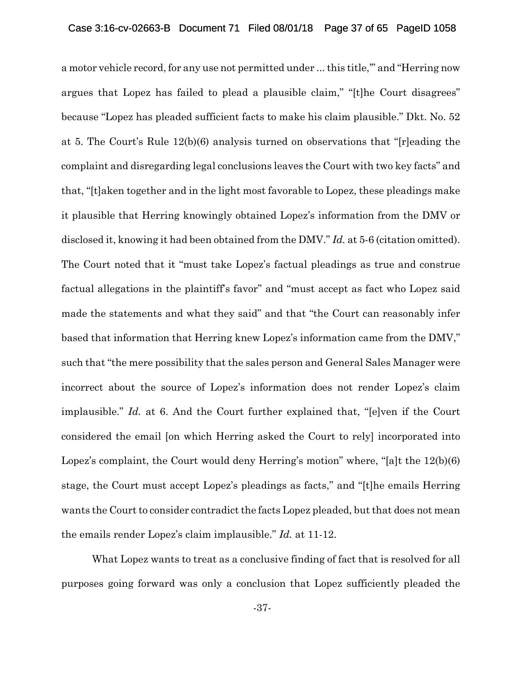## Case 3:16-cv-02663-B Document 71 Filed 08/01/18 Page 37 of 65 PageID 1058

a motor vehicle record, for any use not permitted under ... this title,'" and "Herring now argues that Lopez has failed to plead a plausible claim," "[t]he Court disagrees" because "Lopez has pleaded sufficient facts to make his claim plausible." Dkt. No. 52 at 5. The Court's Rule 12(b)(6) analysis turned on observations that "[r]eading the complaint and disregarding legal conclusions leaves the Court with two key facts" and that, "[t]aken together and in the light most favorable to Lopez, these pleadings make it plausible that Herring knowingly obtained Lopez's information from the DMV or disclosed it, knowing it had been obtained from the DMV." *Id.* at 5-6 (citation omitted). The Court noted that it "must take Lopez's factual pleadings as true and construe factual allegations in the plaintiff's favor" and "must accept as fact who Lopez said made the statements and what they said" and that "the Court can reasonably infer based that information that Herring knew Lopez's information came from the DMV," such that "the mere possibility that the sales person and General Sales Manager were incorrect about the source of Lopez's information does not render Lopez's claim implausible." *Id.* at 6. And the Court further explained that, "[e]ven if the Court considered the email [on which Herring asked the Court to rely] incorporated into Lopez's complaint, the Court would deny Herring's motion" where, "[a]t the 12(b)(6) stage, the Court must accept Lopez's pleadings as facts," and "[t]he emails Herring wants the Court to consider contradict the facts Lopez pleaded, but that does not mean the emails render Lopez's claim implausible." *Id.* at 11-12.

What Lopez wants to treat as a conclusive finding of fact that is resolved for all purposes going forward was only a conclusion that Lopez sufficiently pleaded the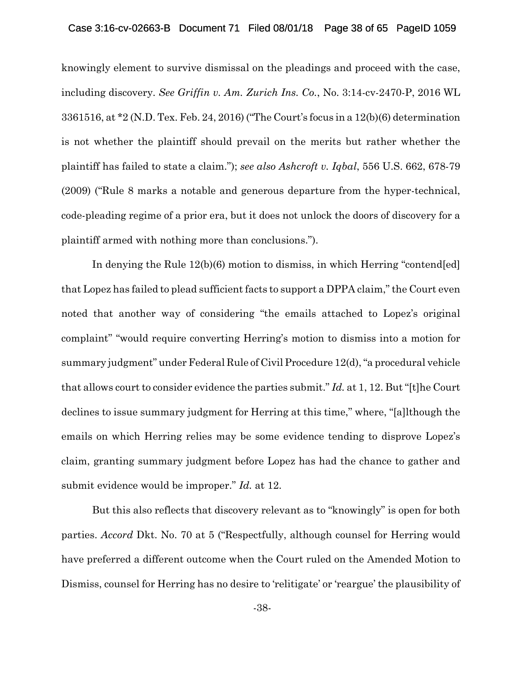## Case 3:16-cv-02663-B Document 71 Filed 08/01/18 Page 38 of 65 PageID 1059

knowingly element to survive dismissal on the pleadings and proceed with the case, including discovery. *See Griffin v. Am. Zurich Ins. Co.*, No. 3:14-cv-2470-P, 2016 WL 3361516, at \*2 (N.D. Tex. Feb. 24, 2016) ("The Court's focus in a 12(b)(6) determination is not whether the plaintiff should prevail on the merits but rather whether the plaintiff has failed to state a claim."); *see also Ashcroft v. Iqbal*, 556 U.S. 662, 678-79 (2009) ("Rule 8 marks a notable and generous departure from the hyper-technical, code-pleading regime of a prior era, but it does not unlock the doors of discovery for a plaintiff armed with nothing more than conclusions.").

In denying the Rule 12(b)(6) motion to dismiss, in which Herring "contend[ed] that Lopez has failed to plead sufficient facts to support a DPPA claim," the Court even noted that another way of considering "the emails attached to Lopez's original complaint" "would require converting Herring's motion to dismiss into a motion for summary judgment" under Federal Rule of Civil Procedure 12(d), "a procedural vehicle that allows court to consider evidence the parties submit." *Id.* at 1, 12. But "[t]he Court declines to issue summary judgment for Herring at this time," where, "[a]lthough the emails on which Herring relies may be some evidence tending to disprove Lopez's claim, granting summary judgment before Lopez has had the chance to gather and submit evidence would be improper." *Id.* at 12.

But this also reflects that discovery relevant as to "knowingly" is open for both parties. *Accord* Dkt. No. 70 at 5 ("Respectfully, although counsel for Herring would have preferred a different outcome when the Court ruled on the Amended Motion to Dismiss, counsel for Herring has no desire to 'relitigate' or 'reargue' the plausibility of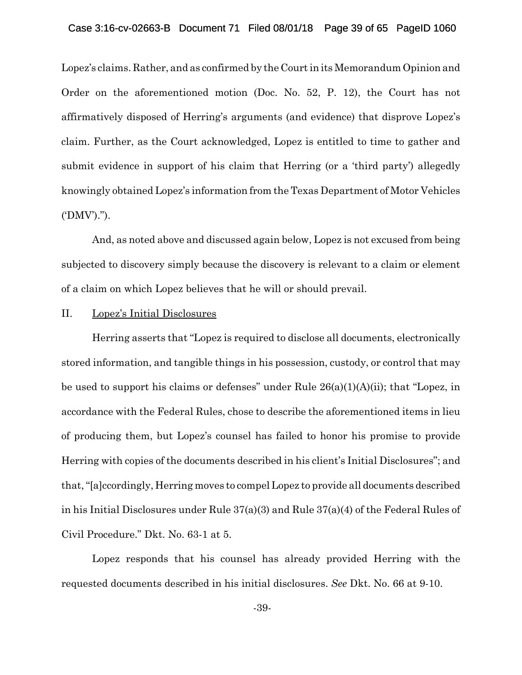## Case 3:16-cv-02663-B Document 71 Filed 08/01/18 Page 39 of 65 PageID 1060

Lopez's claims. Rather, and as confirmed by the Court in its Memorandum Opinion and Order on the aforementioned motion (Doc. No. 52, P. 12), the Court has not affirmatively disposed of Herring's arguments (and evidence) that disprove Lopez's claim. Further, as the Court acknowledged, Lopez is entitled to time to gather and submit evidence in support of his claim that Herring (or a 'third party') allegedly knowingly obtained Lopez's information from the Texas Department of Motor Vehicles ('DMV').").

And, as noted above and discussed again below, Lopez is not excused from being subjected to discovery simply because the discovery is relevant to a claim or element of a claim on which Lopez believes that he will or should prevail.

## II. Lopez's Initial Disclosures

Herring asserts that "Lopez is required to disclose all documents, electronically stored information, and tangible things in his possession, custody, or control that may be used to support his claims or defenses" under Rule 26(a)(1)(A)(ii); that "Lopez, in accordance with the Federal Rules, chose to describe the aforementioned items in lieu of producing them, but Lopez's counsel has failed to honor his promise to provide Herring with copies of the documents described in his client's Initial Disclosures"; and that, "[a]ccordingly, Herring moves to compel Lopez to provide all documents described in his Initial Disclosures under Rule 37(a)(3) and Rule 37(a)(4) of the Federal Rules of Civil Procedure." Dkt. No. 63-1 at 5.

Lopez responds that his counsel has already provided Herring with the requested documents described in his initial disclosures. *See* Dkt. No. 66 at 9-10.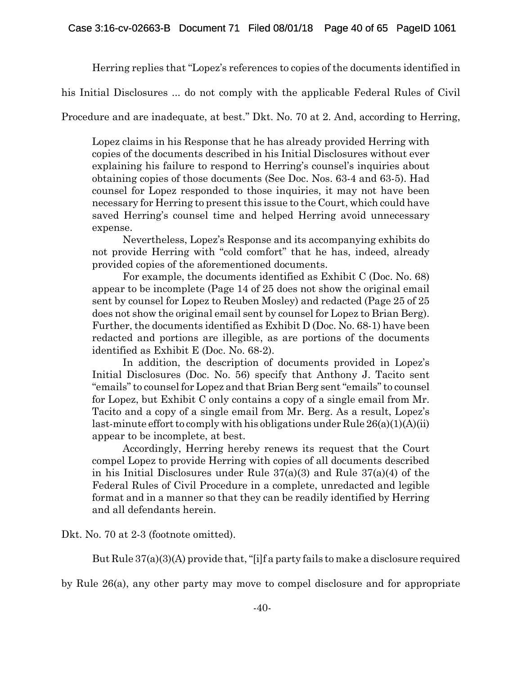Herring replies that "Lopez's references to copies of the documents identified in

his Initial Disclosures ... do not comply with the applicable Federal Rules of Civil

Procedure and are inadequate, at best." Dkt. No. 70 at 2. And, according to Herring,

Lopez claims in his Response that he has already provided Herring with copies of the documents described in his Initial Disclosures without ever explaining his failure to respond to Herring's counsel's inquiries about obtaining copies of those documents (See Doc. Nos. 63-4 and 63-5). Had counsel for Lopez responded to those inquiries, it may not have been necessary for Herring to present this issue to the Court, which could have saved Herring's counsel time and helped Herring avoid unnecessary expense.

Nevertheless, Lopez's Response and its accompanying exhibits do not provide Herring with "cold comfort" that he has, indeed, already provided copies of the aforementioned documents.

For example, the documents identified as Exhibit C (Doc. No. 68) appear to be incomplete (Page 14 of 25 does not show the original email sent by counsel for Lopez to Reuben Mosley) and redacted (Page 25 of 25 does not show the original email sent by counsel for Lopez to Brian Berg). Further, the documents identified as Exhibit D (Doc. No. 68-1) have been redacted and portions are illegible, as are portions of the documents identified as Exhibit E (Doc. No. 68-2).

In addition, the description of documents provided in Lopez's Initial Disclosures (Doc. No. 56) specify that Anthony J. Tacito sent "emails" to counsel for Lopez and that Brian Berg sent "emails" to counsel for Lopez, but Exhibit C only contains a copy of a single email from Mr. Tacito and a copy of a single email from Mr. Berg. As a result, Lopez's last-minute effort to comply with his obligations under Rule  $26(a)(1)(A)(ii)$ appear to be incomplete, at best.

Accordingly, Herring hereby renews its request that the Court compel Lopez to provide Herring with copies of all documents described in his Initial Disclosures under Rule 37(a)(3) and Rule 37(a)(4) of the Federal Rules of Civil Procedure in a complete, unredacted and legible format and in a manner so that they can be readily identified by Herring and all defendants herein.

Dkt. No. 70 at 2-3 (footnote omitted).

But Rule 37(a)(3)(A) provide that, "[i]f a party fails to make a disclosure required

by Rule 26(a), any other party may move to compel disclosure and for appropriate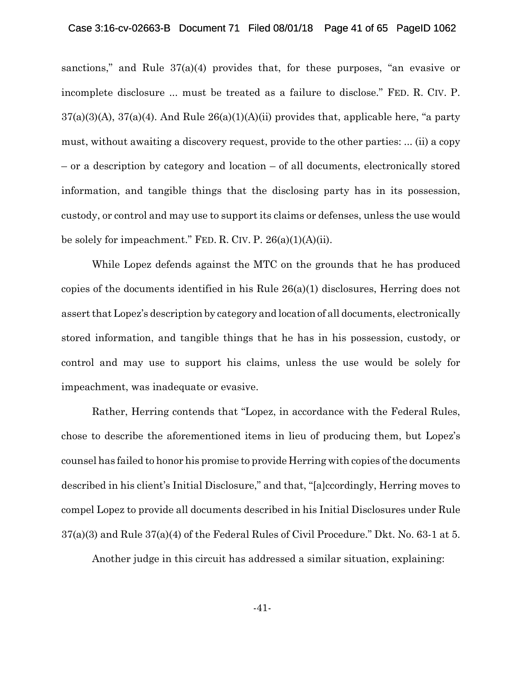## Case 3:16-cv-02663-B Document 71 Filed 08/01/18 Page 41 of 65 PageID 1062

sanctions," and Rule  $37(a)(4)$  provides that, for these purposes, "an evasive or incomplete disclosure ... must be treated as a failure to disclose." FED. R. CIV. P.  $37(a)(3)(A)$ ,  $37(a)(4)$ . And Rule  $26(a)(1)(A)(ii)$  provides that, applicable here, "a party must, without awaiting a discovery request, provide to the other parties: ... (ii) a copy – or a description by category and location – of all documents, electronically stored information, and tangible things that the disclosing party has in its possession, custody, or control and may use to support its claims or defenses, unless the use would be solely for impeachment." FED. R. CIV. P.  $26(a)(1)(A)(ii)$ .

While Lopez defends against the MTC on the grounds that he has produced copies of the documents identified in his Rule  $26(a)(1)$  disclosures, Herring does not assert that Lopez's description by category and location of all documents, electronically stored information, and tangible things that he has in his possession, custody, or control and may use to support his claims, unless the use would be solely for impeachment, was inadequate or evasive.

Rather, Herring contends that "Lopez, in accordance with the Federal Rules, chose to describe the aforementioned items in lieu of producing them, but Lopez's counsel has failed to honor his promise to provide Herring with copies of the documents described in his client's Initial Disclosure," and that, "[a]ccordingly, Herring moves to compel Lopez to provide all documents described in his Initial Disclosures under Rule 37(a)(3) and Rule 37(a)(4) of the Federal Rules of Civil Procedure." Dkt. No. 63-1 at 5.

Another judge in this circuit has addressed a similar situation, explaining: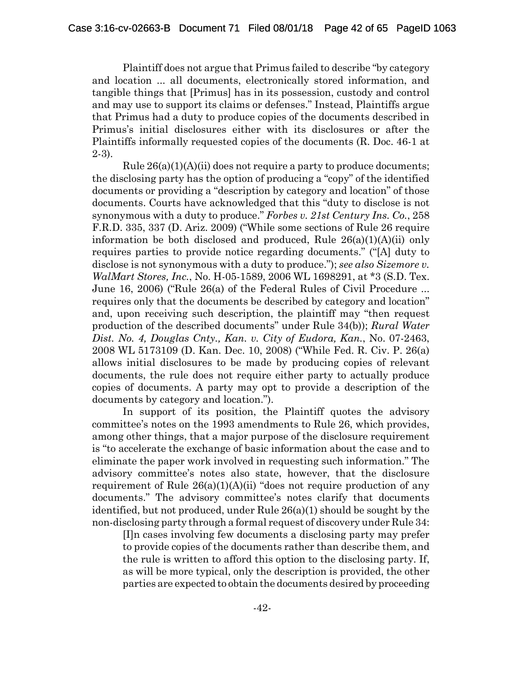Plaintiff does not argue that Primus failed to describe "by category and location ... all documents, electronically stored information, and tangible things that [Primus] has in its possession, custody and control and may use to support its claims or defenses." Instead, Plaintiffs argue that Primus had a duty to produce copies of the documents described in Primus's initial disclosures either with its disclosures or after the Plaintiffs informally requested copies of the documents (R. Doc. 46-1 at 2-3).

Rule  $26(a)(1)(A)(ii)$  does not require a party to produce documents; the disclosing party has the option of producing a "copy" of the identified documents or providing a "description by category and location" of those documents. Courts have acknowledged that this "duty to disclose is not synonymous with a duty to produce." *Forbes v. 21st Century Ins. Co.*, 258 F.R.D. 335, 337 (D. Ariz. 2009) ("While some sections of Rule 26 require information be both disclosed and produced, Rule  $26(a)(1)(A)(ii)$  only requires parties to provide notice regarding documents." ("[A] duty to disclose is not synonymous with a duty to produce."); *see also Sizemore v. WalMart Stores, Inc.*, No. H-05-1589, 2006 WL 1698291, at \*3 (S.D. Tex. June 16, 2006) ("Rule 26(a) of the Federal Rules of Civil Procedure ... requires only that the documents be described by category and location" and, upon receiving such description, the plaintiff may "then request production of the described documents" under Rule 34(b)); *Rural Water Dist. No. 4, Douglas Cnty., Kan. v. City of Eudora, Kan.*, No. 07-2463, 2008 WL 5173109 (D. Kan. Dec. 10, 2008) ("While Fed. R. Civ. P. 26(a) allows initial disclosures to be made by producing copies of relevant documents, the rule does not require either party to actually produce copies of documents. A party may opt to provide a description of the documents by category and location.").

In support of its position, the Plaintiff quotes the advisory committee's notes on the 1993 amendments to Rule 26, which provides, among other things, that a major purpose of the disclosure requirement is "to accelerate the exchange of basic information about the case and to eliminate the paper work involved in requesting such information." The advisory committee's notes also state, however, that the disclosure requirement of Rule  $26(a)(1)(A)(ii)$  "does not require production of any documents." The advisory committee's notes clarify that documents identified, but not produced, under Rule  $26(a)(1)$  should be sought by the non-disclosing party through a formal request of discovery under Rule 34:

[I]n cases involving few documents a disclosing party may prefer to provide copies of the documents rather than describe them, and the rule is written to afford this option to the disclosing party. If, as will be more typical, only the description is provided, the other parties are expected to obtain the documents desired by proceeding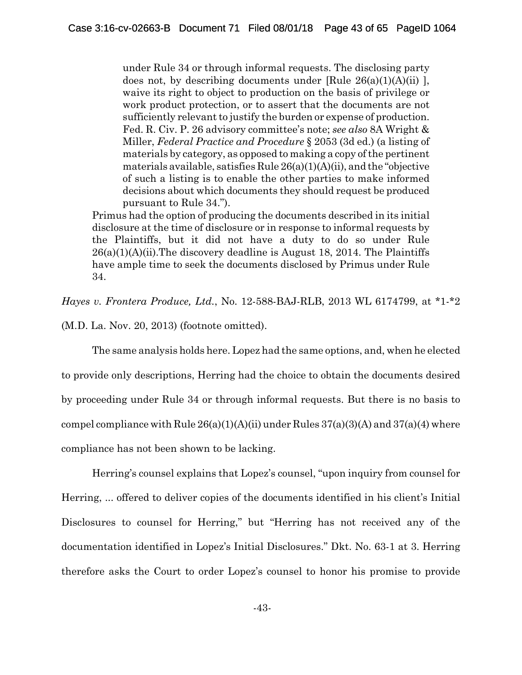under Rule 34 or through informal requests. The disclosing party does not, by describing documents under [Rule  $26(a)(1)(A)(ii)$ ], waive its right to object to production on the basis of privilege or work product protection, or to assert that the documents are not sufficiently relevant to justify the burden or expense of production. Fed. R. Civ. P. 26 advisory committee's note; *see also* 8A Wright & Miller, *Federal Practice and Procedure* § 2053 (3d ed.) (a listing of materials by category, as opposed to making a copy of the pertinent materials available, satisfies Rule  $26(a)(1)(A)(ii)$ , and the "objective" of such a listing is to enable the other parties to make informed decisions about which documents they should request be produced pursuant to Rule 34.").

Primus had the option of producing the documents described in its initial disclosure at the time of disclosure or in response to informal requests by the Plaintiffs, but it did not have a duty to do so under Rule  $26(a)(1)(A)(ii)$ . The discovery deadline is August 18, 2014. The Plaintiffs have ample time to seek the documents disclosed by Primus under Rule 34.

*Hayes v. Frontera Produce, Ltd.*, No. 12-588-BAJ-RLB, 2013 WL 6174799, at \*1-\*2

(M.D. La. Nov. 20, 2013) (footnote omitted).

The same analysis holds here. Lopez had the same options, and, when he elected to provide only descriptions, Herring had the choice to obtain the documents desired by proceeding under Rule 34 or through informal requests. But there is no basis to compel compliance with Rule  $26(a)(1)(A)(ii)$  under Rules  $37(a)(3)(A)$  and  $37(a)(4)$  where compliance has not been shown to be lacking.

Herring's counsel explains that Lopez's counsel, "upon inquiry from counsel for Herring, ... offered to deliver copies of the documents identified in his client's Initial Disclosures to counsel for Herring," but "Herring has not received any of the documentation identified in Lopez's Initial Disclosures." Dkt. No. 63-1 at 3. Herring therefore asks the Court to order Lopez's counsel to honor his promise to provide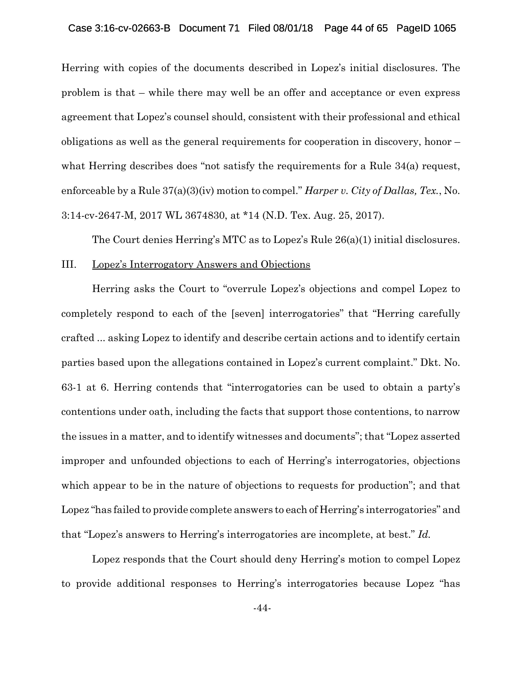## Case 3:16-cv-02663-B Document 71 Filed 08/01/18 Page 44 of 65 PageID 1065

Herring with copies of the documents described in Lopez's initial disclosures. The problem is that – while there may well be an offer and acceptance or even express agreement that Lopez's counsel should, consistent with their professional and ethical obligations as well as the general requirements for cooperation in discovery, honor – what Herring describes does "not satisfy the requirements for a Rule 34(a) request, enforceable by a Rule 37(a)(3)(iv) motion to compel." *Harper v. City of Dallas, Tex.*, No. 3:14-cv-2647-M, 2017 WL 3674830, at \*14 (N.D. Tex. Aug. 25, 2017).

The Court denies Herring's MTC as to Lopez's Rule 26(a)(1) initial disclosures.

## III. Lopez's Interrogatory Answers and Objections

Herring asks the Court to "overrule Lopez's objections and compel Lopez to completely respond to each of the [seven] interrogatories" that "Herring carefully crafted ... asking Lopez to identify and describe certain actions and to identify certain parties based upon the allegations contained in Lopez's current complaint." Dkt. No. 63-1 at 6. Herring contends that "interrogatories can be used to obtain a party's contentions under oath, including the facts that support those contentions, to narrow the issues in a matter, and to identify witnesses and documents"; that "Lopez asserted improper and unfounded objections to each of Herring's interrogatories, objections which appear to be in the nature of objections to requests for production"; and that Lopez "has failed to provide complete answers to each of Herring's interrogatories" and that "Lopez's answers to Herring's interrogatories are incomplete, at best." *Id.*

Lopez responds that the Court should deny Herring's motion to compel Lopez to provide additional responses to Herring's interrogatories because Lopez "has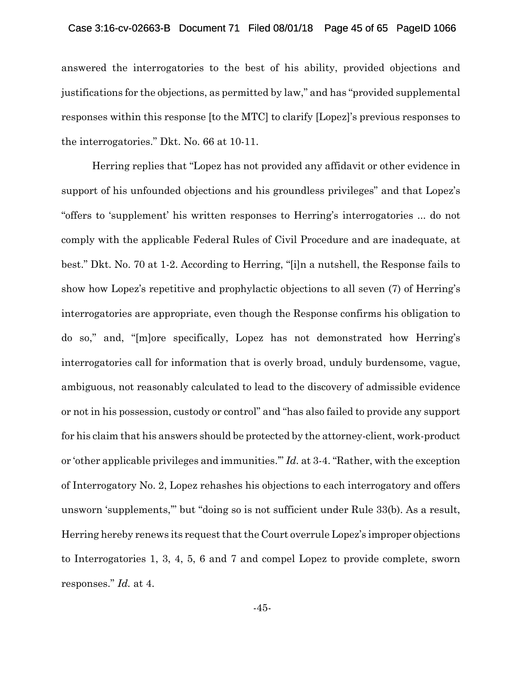## Case 3:16-cv-02663-B Document 71 Filed 08/01/18 Page 45 of 65 PageID 1066

answered the interrogatories to the best of his ability, provided objections and justifications for the objections, as permitted by law," and has "provided supplemental responses within this response [to the MTC] to clarify [Lopez]'s previous responses to the interrogatories." Dkt. No. 66 at 10-11.

Herring replies that "Lopez has not provided any affidavit or other evidence in support of his unfounded objections and his groundless privileges" and that Lopez's "offers to 'supplement' his written responses to Herring's interrogatories ... do not comply with the applicable Federal Rules of Civil Procedure and are inadequate, at best." Dkt. No. 70 at 1-2. According to Herring, "[i]n a nutshell, the Response fails to show how Lopez's repetitive and prophylactic objections to all seven (7) of Herring's interrogatories are appropriate, even though the Response confirms his obligation to do so," and, "[m]ore specifically, Lopez has not demonstrated how Herring's interrogatories call for information that is overly broad, unduly burdensome, vague, ambiguous, not reasonably calculated to lead to the discovery of admissible evidence or not in his possession, custody or control" and "has also failed to provide any support for his claim that his answers should be protected by the attorney-client, work-product or 'other applicable privileges and immunities.'" *Id.* at 3-4. "Rather, with the exception of Interrogatory No. 2, Lopez rehashes his objections to each interrogatory and offers unsworn 'supplements,'" but "doing so is not sufficient under Rule 33(b). As a result, Herring hereby renews its request that the Court overrule Lopez's improper objections to Interrogatories 1, 3, 4, 5, 6 and 7 and compel Lopez to provide complete, sworn responses." *Id.* at 4.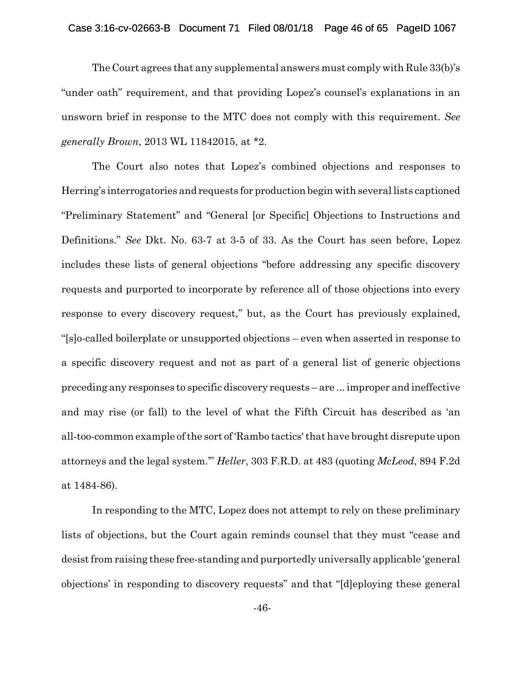## Case 3:16-cv-02663-B Document 71 Filed 08/01/18 Page 46 of 65 PageID 1067

The Court agrees that any supplemental answers must comply with Rule 33(b)'s "under oath" requirement, and that providing Lopez's counsel's explanations in an unsworn brief in response to the MTC does not comply with this requirement. *See generally Brown*, 2013 WL 11842015, at \*2.

The Court also notes that Lopez's combined objections and responses to Herring's interrogatories and requests for production begin with several lists captioned "Preliminary Statement" and "General [or Specific] Objections to Instructions and Definitions." *See* Dkt. No. 63-7 at 3-5 of 33. As the Court has seen before, Lopez includes these lists of general objections "before addressing any specific discovery requests and purported to incorporate by reference all of those objections into every response to every discovery request," but, as the Court has previously explained, "[s]o-called boilerplate or unsupported objections – even when asserted in response to a specific discovery request and not as part of a general list of generic objections preceding any responses to specific discovery requests – are ... improper and ineffective and may rise (or fall) to the level of what the Fifth Circuit has described as 'an all-too-common example of the sort of 'Rambo tactics' that have brought disrepute upon attorneys and the legal system.'" *Heller*, 303 F.R.D. at 483 (quoting *McLeod*, 894 F.2d at 1484-86).

In responding to the MTC, Lopez does not attempt to rely on these preliminary lists of objections, but the Court again reminds counsel that they must "cease and desist from raising these free-standing and purportedly universally applicable 'general objections' in responding to discovery requests" and that "[d]eploying these general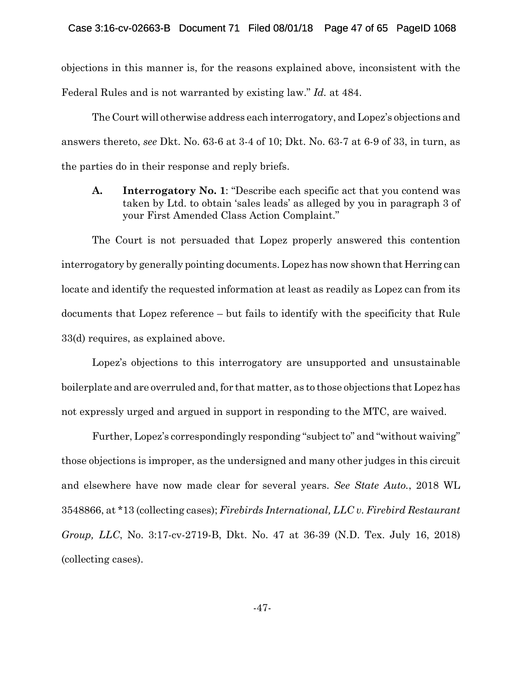objections in this manner is, for the reasons explained above, inconsistent with the Federal Rules and is not warranted by existing law." *Id.* at 484.

The Court will otherwise address each interrogatory, and Lopez's objections and answers thereto, *see* Dkt. No. 63-6 at 3-4 of 10; Dkt. No. 63-7 at 6-9 of 33, in turn, as the parties do in their response and reply briefs.

**A. Interrogatory No. 1**: "Describe each specific act that you contend was taken by Ltd. to obtain 'sales leads' as alleged by you in paragraph 3 of your First Amended Class Action Complaint."

The Court is not persuaded that Lopez properly answered this contention interrogatory by generally pointing documents. Lopez has now shown that Herring can locate and identify the requested information at least as readily as Lopez can from its documents that Lopez reference – but fails to identify with the specificity that Rule 33(d) requires, as explained above.

Lopez's objections to this interrogatory are unsupported and unsustainable boilerplate and are overruled and, for that matter, as to those objections that Lopez has not expressly urged and argued in support in responding to the MTC, are waived.

Further, Lopez's correspondingly responding "subject to" and "without waiving" those objections is improper, as the undersigned and many other judges in this circuit and elsewhere have now made clear for several years. *See State Auto.*, 2018 WL 3548866, at \*13 (collecting cases); *Firebirds International, LLC v. Firebird Restaurant Group, LLC*, No. 3:17-cv-2719-B, Dkt. No. 47 at 36-39 (N.D. Tex. July 16, 2018) (collecting cases).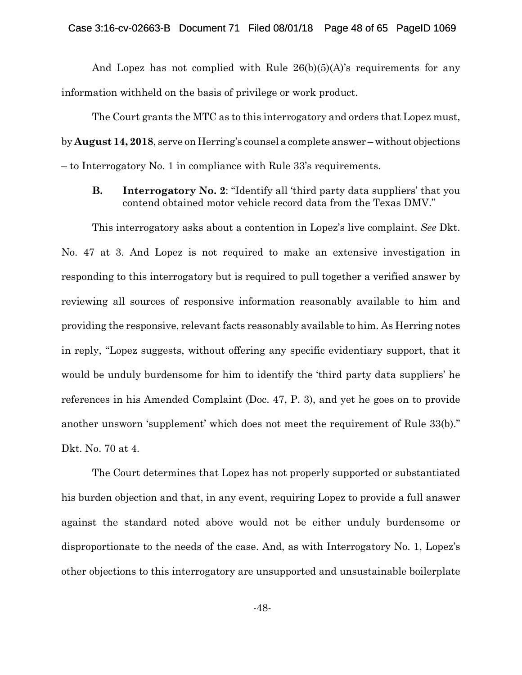And Lopez has not complied with Rule 26(b)(5)(A)'s requirements for any information withheld on the basis of privilege or work product.

The Court grants the MTC as to this interrogatory and orders that Lopez must, by **August 14, 2018**, serve on Herring's counsel a complete answer – without objections – to Interrogatory No. 1 in compliance with Rule 33's requirements.

**B. Interrogatory No. 2**: "Identify all 'third party data suppliers' that you contend obtained motor vehicle record data from the Texas DMV."

This interrogatory asks about a contention in Lopez's live complaint. *See* Dkt. No. 47 at 3. And Lopez is not required to make an extensive investigation in responding to this interrogatory but is required to pull together a verified answer by reviewing all sources of responsive information reasonably available to him and providing the responsive, relevant facts reasonably available to him. As Herring notes in reply, "Lopez suggests, without offering any specific evidentiary support, that it would be unduly burdensome for him to identify the 'third party data suppliers' he references in his Amended Complaint (Doc. 47, P. 3), and yet he goes on to provide another unsworn 'supplement' which does not meet the requirement of Rule 33(b)." Dkt. No. 70 at 4.

The Court determines that Lopez has not properly supported or substantiated his burden objection and that, in any event, requiring Lopez to provide a full answer against the standard noted above would not be either unduly burdensome or disproportionate to the needs of the case. And, as with Interrogatory No. 1, Lopez's other objections to this interrogatory are unsupported and unsustainable boilerplate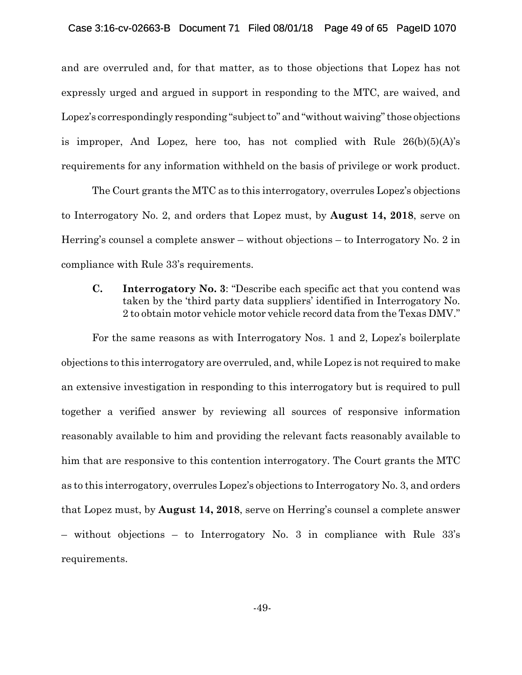## Case 3:16-cv-02663-B Document 71 Filed 08/01/18 Page 49 of 65 PageID 1070

and are overruled and, for that matter, as to those objections that Lopez has not expressly urged and argued in support in responding to the MTC, are waived, and Lopez's correspondingly responding "subject to" and "without waiving" those objections is improper, And Lopez, here too, has not complied with Rule  $26(b)(5)(A)$ 's requirements for any information withheld on the basis of privilege or work product.

The Court grants the MTC as to this interrogatory, overrules Lopez's objections to Interrogatory No. 2, and orders that Lopez must, by **August 14, 2018**, serve on Herring's counsel a complete answer – without objections – to Interrogatory No. 2 in compliance with Rule 33's requirements.

**C. Interrogatory No. 3**: "Describe each specific act that you contend was taken by the 'third party data suppliers' identified in Interrogatory No. 2 to obtain motor vehicle motor vehicle record data from the Texas DMV."

For the same reasons as with Interrogatory Nos. 1 and 2, Lopez's boilerplate objections to this interrogatory are overruled, and, while Lopez is not required to make an extensive investigation in responding to this interrogatory but is required to pull together a verified answer by reviewing all sources of responsive information reasonably available to him and providing the relevant facts reasonably available to him that are responsive to this contention interrogatory. The Court grants the MTC as to this interrogatory, overrules Lopez's objections to Interrogatory No. 3, and orders that Lopez must, by **August 14, 2018**, serve on Herring's counsel a complete answer – without objections – to Interrogatory No. 3 in compliance with Rule 33's requirements.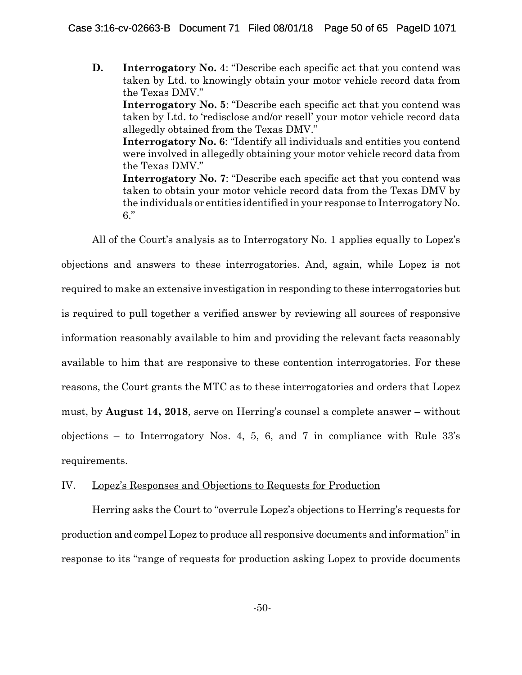**D. Interrogatory No. 4**: "Describe each specific act that you contend was taken by Ltd. to knowingly obtain your motor vehicle record data from the Texas DMV." **Interrogatory No. 5**: "Describe each specific act that you contend was taken by Ltd. to 'redisclose and/or resell' your motor vehicle record data allegedly obtained from the Texas DMV." **Interrogatory No. 6**: "Identify all individuals and entities you contend were involved in allegedly obtaining your motor vehicle record data from the Texas DMV." **Interrogatory No. 7**: "Describe each specific act that you contend was taken to obtain your motor vehicle record data from the Texas DMV by

the individuals or entities identified in your response to Interrogatory No.

All of the Court's analysis as to Interrogatory No. 1 applies equally to Lopez's objections and answers to these interrogatories. And, again, while Lopez is not required to make an extensive investigation in responding to these interrogatories but is required to pull together a verified answer by reviewing all sources of responsive information reasonably available to him and providing the relevant facts reasonably available to him that are responsive to these contention interrogatories. For these reasons, the Court grants the MTC as to these interrogatories and orders that Lopez must, by **August 14, 2018**, serve on Herring's counsel a complete answer – without objections – to Interrogatory Nos. 4, 5, 6, and 7 in compliance with Rule  $33\text{'s}$ requirements.

## IV. Lopez's Responses and Objections to Requests for Production

 $6.$ "

Herring asks the Court to "overrule Lopez's objections to Herring's requests for production and compel Lopez to produce all responsive documents and information" in response to its "range of requests for production asking Lopez to provide documents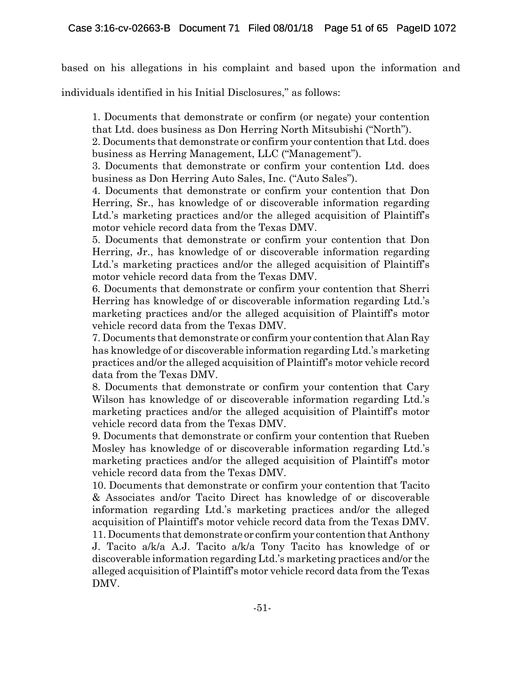based on his allegations in his complaint and based upon the information and

individuals identified in his Initial Disclosures," as follows:

1. Documents that demonstrate or confirm (or negate) your contention that Ltd. does business as Don Herring North Mitsubishi ("North").

2. Documents that demonstrate or confirm your contention that Ltd. does business as Herring Management, LLC ("Management").

3. Documents that demonstrate or confirm your contention Ltd. does business as Don Herring Auto Sales, Inc. ("Auto Sales").

4. Documents that demonstrate or confirm your contention that Don Herring, Sr., has knowledge of or discoverable information regarding Ltd.'s marketing practices and/or the alleged acquisition of Plaintiff's motor vehicle record data from the Texas DMV.

5. Documents that demonstrate or confirm your contention that Don Herring, Jr., has knowledge of or discoverable information regarding Ltd.'s marketing practices and/or the alleged acquisition of Plaintiff's motor vehicle record data from the Texas DMV.

6. Documents that demonstrate or confirm your contention that Sherri Herring has knowledge of or discoverable information regarding Ltd.'s marketing practices and/or the alleged acquisition of Plaintiff's motor vehicle record data from the Texas DMV.

7. Documents that demonstrate or confirm your contention that Alan Ray has knowledge of or discoverable information regarding Ltd.'s marketing practices and/or the alleged acquisition of Plaintiff's motor vehicle record data from the Texas DMV.

8. Documents that demonstrate or confirm your contention that Cary Wilson has knowledge of or discoverable information regarding Ltd.'s marketing practices and/or the alleged acquisition of Plaintiff's motor vehicle record data from the Texas DMV.

9. Documents that demonstrate or confirm your contention that Rueben Mosley has knowledge of or discoverable information regarding Ltd.'s marketing practices and/or the alleged acquisition of Plaintiff's motor vehicle record data from the Texas DMV.

10. Documents that demonstrate or confirm your contention that Tacito & Associates and/or Tacito Direct has knowledge of or discoverable information regarding Ltd.'s marketing practices and/or the alleged acquisition of Plaintiff's motor vehicle record data from the Texas DMV. 11. Documents that demonstrate or confirm your contention that Anthony J. Tacito a/k/a A.J. Tacito a/k/a Tony Tacito has knowledge of or discoverable information regarding Ltd.'s marketing practices and/or the alleged acquisition of Plaintiff's motor vehicle record data from the Texas DMV.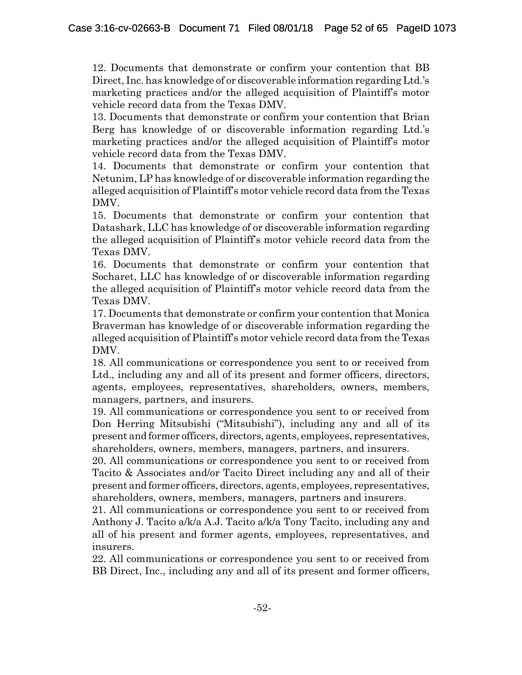12. Documents that demonstrate or confirm your contention that BB Direct, Inc. has knowledge of or discoverable information regarding Ltd.'s marketing practices and/or the alleged acquisition of Plaintiff's motor vehicle record data from the Texas DMV.

13. Documents that demonstrate or confirm your contention that Brian Berg has knowledge of or discoverable information regarding Ltd.'s marketing practices and/or the alleged acquisition of Plaintiff's motor vehicle record data from the Texas DMV.

14. Documents that demonstrate or confirm your contention that Netunim, LP has knowledge of or discoverable information regarding the alleged acquisition of Plaintiff's motor vehicle record data from the Texas DMV.

15. Documents that demonstrate or confirm your contention that Datashark, LLC has knowledge of or discoverable information regarding the alleged acquisition of Plaintiff's motor vehicle record data from the Texas DMV.

16. Documents that demonstrate or confirm your contention that Socharet, LLC has knowledge of or discoverable information regarding the alleged acquisition of Plaintiff's motor vehicle record data from the Texas DMV.

17. Documents that demonstrate or confirm your contention that Monica Braverman has knowledge of or discoverable information regarding the alleged acquisition of Plaintiff's motor vehicle record data from the Texas DMV.

18. All communications or correspondence you sent to or received from Ltd., including any and all of its present and former officers, directors, agents, employees, representatives, shareholders, owners, members, managers, partners, and insurers.

19. All communications or correspondence you sent to or received from Don Herring Mitsubishi ("Mitsubishi"), including any and all of its present and former officers, directors, agents, employees, representatives, shareholders, owners, members, managers, partners, and insurers.

20. All communications or correspondence you sent to or received from Tacito & Associates and/or Tacito Direct including any and all of their present and former officers, directors, agents, employees, representatives, shareholders, owners, members, managers, partners and insurers.

21. All communications or correspondence you sent to or received from Anthony J. Tacito a/k/a A.J. Tacito a/k/a Tony Tacito, including any and all of his present and former agents, employees, representatives, and insurers.

22. All communications or correspondence you sent to or received from BB Direct, Inc., including any and all of its present and former officers,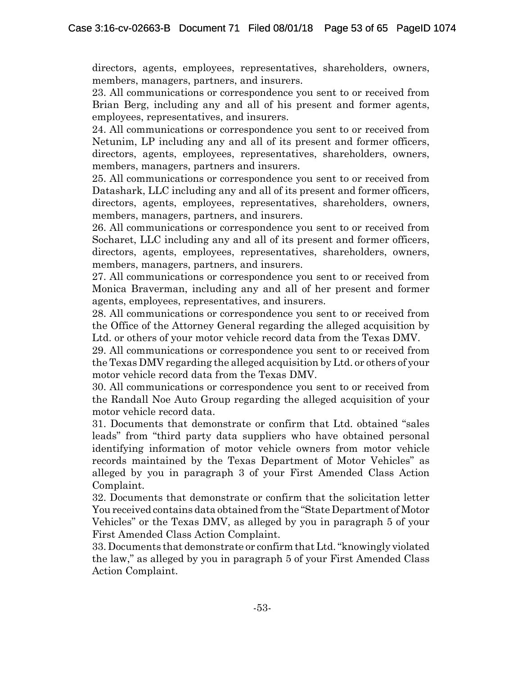directors, agents, employees, representatives, shareholders, owners, members, managers, partners, and insurers.

23. All communications or correspondence you sent to or received from Brian Berg, including any and all of his present and former agents, employees, representatives, and insurers.

24. All communications or correspondence you sent to or received from Netunim, LP including any and all of its present and former officers, directors, agents, employees, representatives, shareholders, owners, members, managers, partners and insurers.

25. All communications or correspondence you sent to or received from Datashark, LLC including any and all of its present and former officers, directors, agents, employees, representatives, shareholders, owners, members, managers, partners, and insurers.

26. All communications or correspondence you sent to or received from Socharet, LLC including any and all of its present and former officers, directors, agents, employees, representatives, shareholders, owners, members, managers, partners, and insurers.

27. All communications or correspondence you sent to or received from Monica Braverman, including any and all of her present and former agents, employees, representatives, and insurers.

28. All communications or correspondence you sent to or received from the Office of the Attorney General regarding the alleged acquisition by Ltd. or others of your motor vehicle record data from the Texas DMV.

29. All communications or correspondence you sent to or received from the Texas DMV regarding the alleged acquisition by Ltd. or others of your motor vehicle record data from the Texas DMV.

30. All communications or correspondence you sent to or received from the Randall Noe Auto Group regarding the alleged acquisition of your motor vehicle record data.

31. Documents that demonstrate or confirm that Ltd. obtained "sales leads" from "third party data suppliers who have obtained personal identifying information of motor vehicle owners from motor vehicle records maintained by the Texas Department of Motor Vehicles" as alleged by you in paragraph 3 of your First Amended Class Action Complaint.

32. Documents that demonstrate or confirm that the solicitation letter You received contains data obtained from the "State Department of Motor Vehicles" or the Texas DMV, as alleged by you in paragraph 5 of your First Amended Class Action Complaint.

33. Documents that demonstrate or confirm that Ltd. "knowingly violated the law," as alleged by you in paragraph 5 of your First Amended Class Action Complaint.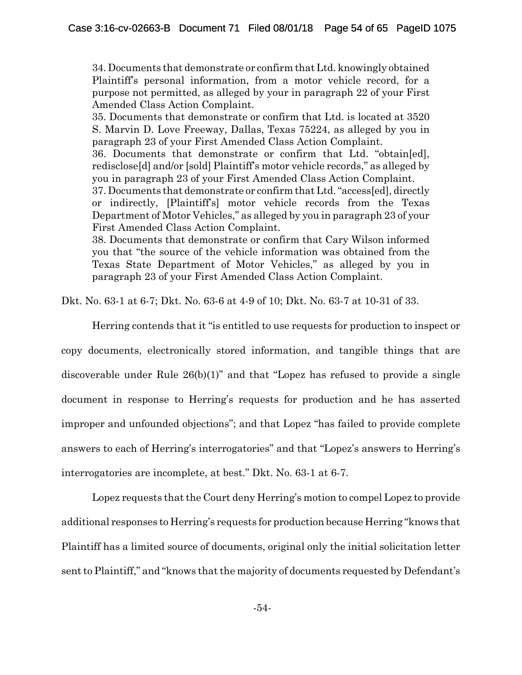34. Documents that demonstrate or confirm that Ltd. knowingly obtained Plaintiff's personal information, from a motor vehicle record, for a purpose not permitted, as alleged by your in paragraph 22 of your First Amended Class Action Complaint.

35. Documents that demonstrate or confirm that Ltd. is located at 3520 S. Marvin D. Love Freeway, Dallas, Texas 75224, as alleged by you in paragraph 23 of your First Amended Class Action Complaint.

36. Documents that demonstrate or confirm that Ltd. "obtain[ed], redisclose[d] and/or [sold] Plaintiff's motor vehicle records," as alleged by you in paragraph 23 of your First Amended Class Action Complaint.

37. Documents that demonstrate or confirm that Ltd. "access[ed], directly or indirectly, [Plaintiff's] motor vehicle records from the Texas Department of Motor Vehicles," as alleged by you in paragraph 23 of your First Amended Class Action Complaint.

38. Documents that demonstrate or confirm that Cary Wilson informed you that "the source of the vehicle information was obtained from the Texas State Department of Motor Vehicles," as alleged by you in paragraph 23 of your First Amended Class Action Complaint.

Dkt. No. 63-1 at 6-7; Dkt. No. 63-6 at 4-9 of 10; Dkt. No. 63-7 at 10-31 of 33.

Herring contends that it "is entitled to use requests for production to inspect or copy documents, electronically stored information, and tangible things that are discoverable under Rule 26(b)(1)" and that "Lopez has refused to provide a single document in response to Herring's requests for production and he has asserted improper and unfounded objections"; and that Lopez "has failed to provide complete answers to each of Herring's interrogatories" and that "Lopez's answers to Herring's interrogatories are incomplete, at best." Dkt. No. 63-1 at 6-7.

Lopez requests that the Court deny Herring's motion to compel Lopez to provide additional responses to Herring's requests for production because Herring "knows that Plaintiff has a limited source of documents, original only the initial solicitation letter sent to Plaintiff," and "knows that the majority of documents requested by Defendant's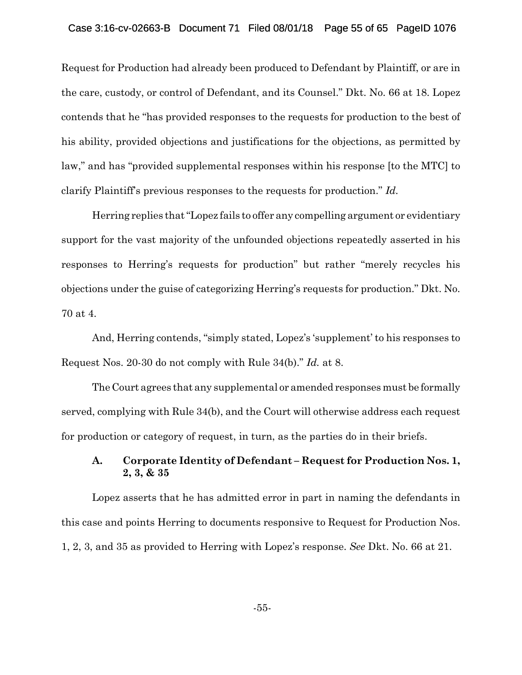## Case 3:16-cv-02663-B Document 71 Filed 08/01/18 Page 55 of 65 PageID 1076

Request for Production had already been produced to Defendant by Plaintiff, or are in the care, custody, or control of Defendant, and its Counsel." Dkt. No. 66 at 18. Lopez contends that he "has provided responses to the requests for production to the best of his ability, provided objections and justifications for the objections, as permitted by law," and has "provided supplemental responses within his response [to the MTC] to clarify Plaintiff's previous responses to the requests for production." *Id.*

Herring replies that "Lopez fails to offer any compelling argument or evidentiary support for the vast majority of the unfounded objections repeatedly asserted in his responses to Herring's requests for production" but rather "merely recycles his objections under the guise of categorizing Herring's requests for production." Dkt. No. 70 at 4.

And, Herring contends, "simply stated, Lopez's 'supplement' to his responses to Request Nos. 20-30 do not comply with Rule 34(b)." *Id.* at 8.

The Court agrees that any supplemental or amended responses must be formally served, complying with Rule 34(b), and the Court will otherwise address each request for production or category of request, in turn, as the parties do in their briefs.

## **A. Corporate Identity of Defendant – Request for Production Nos. 1, 2, 3, & 35**

Lopez asserts that he has admitted error in part in naming the defendants in this case and points Herring to documents responsive to Request for Production Nos. 1, 2, 3, and 35 as provided to Herring with Lopez's response. *See* Dkt. No. 66 at 21.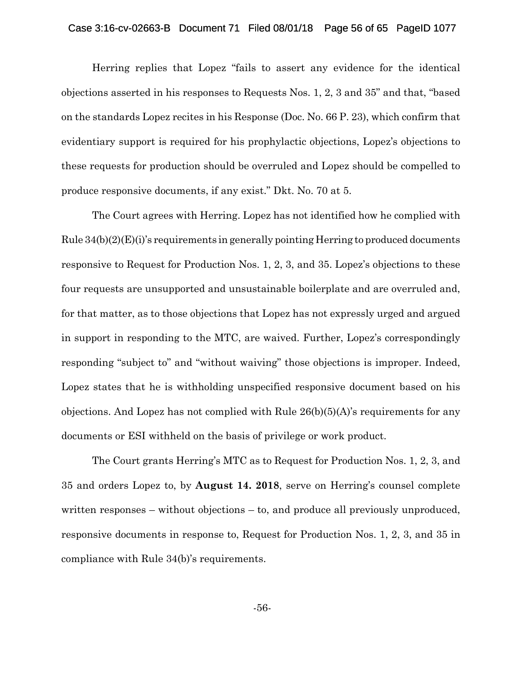## Case 3:16-cv-02663-B Document 71 Filed 08/01/18 Page 56 of 65 PageID 1077

Herring replies that Lopez "fails to assert any evidence for the identical objections asserted in his responses to Requests Nos. 1, 2, 3 and 35" and that, "based on the standards Lopez recites in his Response (Doc. No. 66 P. 23), which confirm that evidentiary support is required for his prophylactic objections, Lopez's objections to these requests for production should be overruled and Lopez should be compelled to produce responsive documents, if any exist." Dkt. No. 70 at 5.

The Court agrees with Herring. Lopez has not identified how he complied with Rule  $34(b)(2)(E)(i)$ 's requirements in generally pointing Herring to produced documents responsive to Request for Production Nos. 1, 2, 3, and 35. Lopez's objections to these four requests are unsupported and unsustainable boilerplate and are overruled and, for that matter, as to those objections that Lopez has not expressly urged and argued in support in responding to the MTC, are waived. Further, Lopez's correspondingly responding "subject to" and "without waiving" those objections is improper. Indeed, Lopez states that he is withholding unspecified responsive document based on his objections. And Lopez has not complied with Rule 26(b)(5)(A)'s requirements for any documents or ESI withheld on the basis of privilege or work product.

The Court grants Herring's MTC as to Request for Production Nos. 1, 2, 3, and 35 and orders Lopez to, by **August 14. 2018**, serve on Herring's counsel complete written responses – without objections – to, and produce all previously unproduced, responsive documents in response to, Request for Production Nos. 1, 2, 3, and 35 in compliance with Rule 34(b)'s requirements.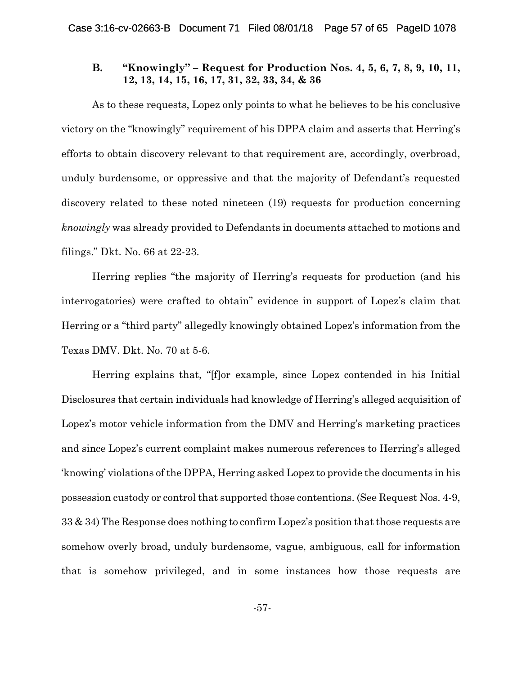## **B. "Knowingly" – Request for Production Nos. 4, 5, 6, 7, 8, 9, 10, 11, 12, 13, 14, 15, 16, 17, 31, 32, 33, 34, & 36**

As to these requests, Lopez only points to what he believes to be his conclusive victory on the "knowingly" requirement of his DPPA claim and asserts that Herring's efforts to obtain discovery relevant to that requirement are, accordingly, overbroad, unduly burdensome, or oppressive and that the majority of Defendant's requested discovery related to these noted nineteen (19) requests for production concerning *knowingly* was already provided to Defendants in documents attached to motions and filings." Dkt. No. 66 at 22-23.

Herring replies "the majority of Herring's requests for production (and his interrogatories) were crafted to obtain" evidence in support of Lopez's claim that Herring or a "third party" allegedly knowingly obtained Lopez's information from the Texas DMV. Dkt. No. 70 at 5-6.

Herring explains that, "[f]or example, since Lopez contended in his Initial Disclosures that certain individuals had knowledge of Herring's alleged acquisition of Lopez's motor vehicle information from the DMV and Herring's marketing practices and since Lopez's current complaint makes numerous references to Herring's alleged 'knowing' violations of the DPPA, Herring asked Lopez to provide the documents in his possession custody or control that supported those contentions. (See Request Nos. 4-9, 33 & 34) The Response does nothing to confirm Lopez's position that those requests are somehow overly broad, unduly burdensome, vague, ambiguous, call for information that is somehow privileged, and in some instances how those requests are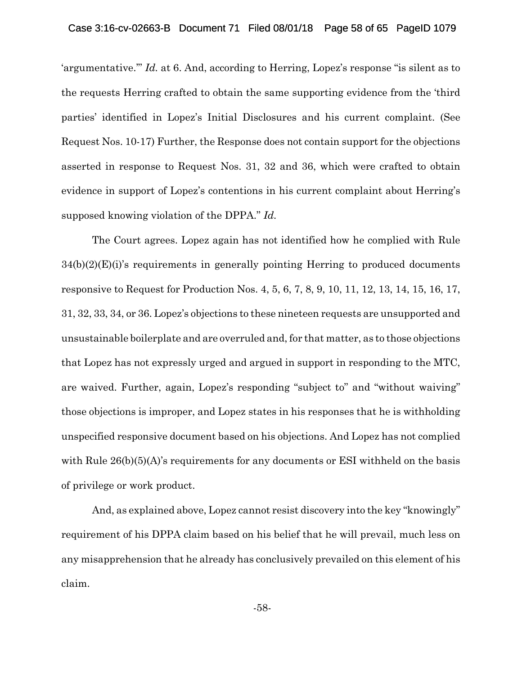## Case 3:16-cv-02663-B Document 71 Filed 08/01/18 Page 58 of 65 PageID 1079

'argumentative.'" *Id.* at 6. And, according to Herring, Lopez's response "is silent as to the requests Herring crafted to obtain the same supporting evidence from the 'third parties' identified in Lopez's Initial Disclosures and his current complaint. (See Request Nos. 10-17) Further, the Response does not contain support for the objections asserted in response to Request Nos. 31, 32 and 36, which were crafted to obtain evidence in support of Lopez's contentions in his current complaint about Herring's supposed knowing violation of the DPPA." *Id.*

The Court agrees. Lopez again has not identified how he complied with Rule  $34(b)(2)(E)(i)$ 's requirements in generally pointing Herring to produced documents responsive to Request for Production Nos. 4, 5, 6, 7, 8, 9, 10, 11, 12, 13, 14, 15, 16, 17, 31, 32, 33, 34, or 36. Lopez's objections to these nineteen requests are unsupported and unsustainable boilerplate and are overruled and, for that matter, as to those objections that Lopez has not expressly urged and argued in support in responding to the MTC, are waived. Further, again, Lopez's responding "subject to" and "without waiving" those objections is improper, and Lopez states in his responses that he is withholding unspecified responsive document based on his objections. And Lopez has not complied with Rule  $26(b)(5)(A)$ 's requirements for any documents or ESI withheld on the basis of privilege or work product.

And, as explained above, Lopez cannot resist discovery into the key "knowingly" requirement of his DPPA claim based on his belief that he will prevail, much less on any misapprehension that he already has conclusively prevailed on this element of his claim.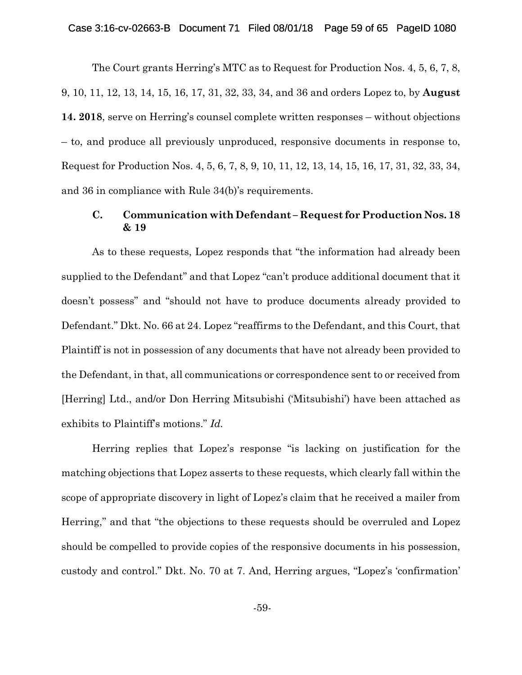The Court grants Herring's MTC as to Request for Production Nos. 4, 5, 6, 7, 8, 9, 10, 11, 12, 13, 14, 15, 16, 17, 31, 32, 33, 34, and 36 and orders Lopez to, by **August 14. 2018**, serve on Herring's counsel complete written responses – without objections – to, and produce all previously unproduced, responsive documents in response to, Request for Production Nos. 4, 5, 6, 7, 8, 9, 10, 11, 12, 13, 14, 15, 16, 17, 31, 32, 33, 34, and 36 in compliance with Rule 34(b)'s requirements.

## **C. Communication with Defendant – Request for Production Nos. 18 & 19**

As to these requests, Lopez responds that "the information had already been supplied to the Defendant" and that Lopez "can't produce additional document that it doesn't possess" and "should not have to produce documents already provided to Defendant." Dkt. No. 66 at 24. Lopez "reaffirms to the Defendant, and this Court, that Plaintiff is not in possession of any documents that have not already been provided to the Defendant, in that, all communications or correspondence sent to or received from [Herring] Ltd., and/or Don Herring Mitsubishi ('Mitsubishi') have been attached as exhibits to Plaintiff's motions." *Id.*

Herring replies that Lopez's response "is lacking on justification for the matching objections that Lopez asserts to these requests, which clearly fall within the scope of appropriate discovery in light of Lopez's claim that he received a mailer from Herring," and that "the objections to these requests should be overruled and Lopez should be compelled to provide copies of the responsive documents in his possession, custody and control." Dkt. No. 70 at 7. And, Herring argues, "Lopez's 'confirmation'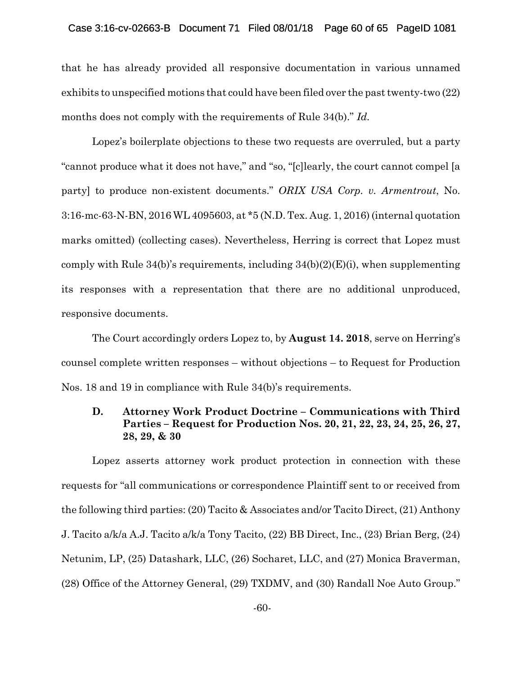## Case 3:16-cv-02663-B Document 71 Filed 08/01/18 Page 60 of 65 PageID 1081

that he has already provided all responsive documentation in various unnamed exhibits to unspecified motions that could have been filed over the past twenty-two (22) months does not comply with the requirements of Rule 34(b)." *Id.*

Lopez's boilerplate objections to these two requests are overruled, but a party "cannot produce what it does not have," and "so, "[c]learly, the court cannot compel [a party] to produce non-existent documents." *ORIX USA Corp. v. Armentrout*, No. 3:16-mc-63-N-BN, 2016 WL 4095603, at \*5 (N.D. Tex. Aug. 1, 2016) (internal quotation marks omitted) (collecting cases). Nevertheless, Herring is correct that Lopez must comply with Rule  $34(b)$ 's requirements, including  $34(b)(2)(E)(i)$ , when supplementing its responses with a representation that there are no additional unproduced, responsive documents.

The Court accordingly orders Lopez to, by **August 14. 2018**, serve on Herring's counsel complete written responses – without objections – to Request for Production Nos. 18 and 19 in compliance with Rule 34(b)'s requirements.

## **D. Attorney Work Product Doctrine – Communications with Third Parties – Request for Production Nos. 20, 21, 22, 23, 24, 25, 26, 27, 28, 29, & 30**

Lopez asserts attorney work product protection in connection with these requests for "all communications or correspondence Plaintiff sent to or received from the following third parties: (20) Tacito & Associates and/or Tacito Direct, (21) Anthony J. Tacito a/k/a A.J. Tacito a/k/a Tony Tacito, (22) BB Direct, Inc., (23) Brian Berg, (24) Netunim, LP, (25) Datashark, LLC, (26) Socharet, LLC, and (27) Monica Braverman, (28) Office of the Attorney General, (29) TXDMV, and (30) Randall Noe Auto Group."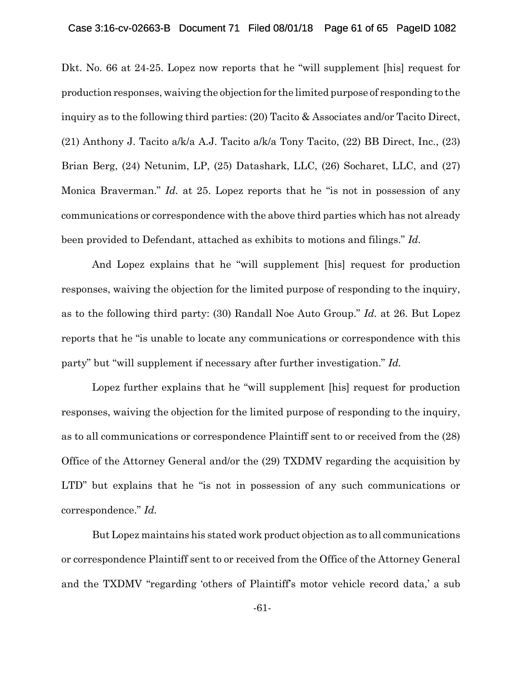## Case 3:16-cv-02663-B Document 71 Filed 08/01/18 Page 61 of 65 PageID 1082

Dkt. No. 66 at 24-25. Lopez now reports that he "will supplement [his] request for production responses, waiving the objection for the limited purpose of responding to the inquiry as to the following third parties: (20) Tacito & Associates and/or Tacito Direct, (21) Anthony J. Tacito a/k/a A.J. Tacito a/k/a Tony Tacito, (22) BB Direct, Inc., (23) Brian Berg, (24) Netunim, LP, (25) Datashark, LLC, (26) Socharet, LLC, and (27) Monica Braverman." *Id.* at 25. Lopez reports that he "is not in possession of any communications or correspondence with the above third parties which has not already been provided to Defendant, attached as exhibits to motions and filings." *Id.*

And Lopez explains that he "will supplement [his] request for production responses, waiving the objection for the limited purpose of responding to the inquiry, as to the following third party: (30) Randall Noe Auto Group." *Id.* at 26. But Lopez reports that he "is unable to locate any communications or correspondence with this party" but "will supplement if necessary after further investigation." *Id.*

Lopez further explains that he "will supplement [his] request for production responses, waiving the objection for the limited purpose of responding to the inquiry, as to all communications or correspondence Plaintiff sent to or received from the (28) Office of the Attorney General and/or the (29) TXDMV regarding the acquisition by LTD" but explains that he "is not in possession of any such communications or correspondence." *Id.*

But Lopez maintains his stated work product objection as to all communications or correspondence Plaintiff sent to or received from the Office of the Attorney General and the TXDMV "regarding 'others of Plaintiff's motor vehicle record data,' a sub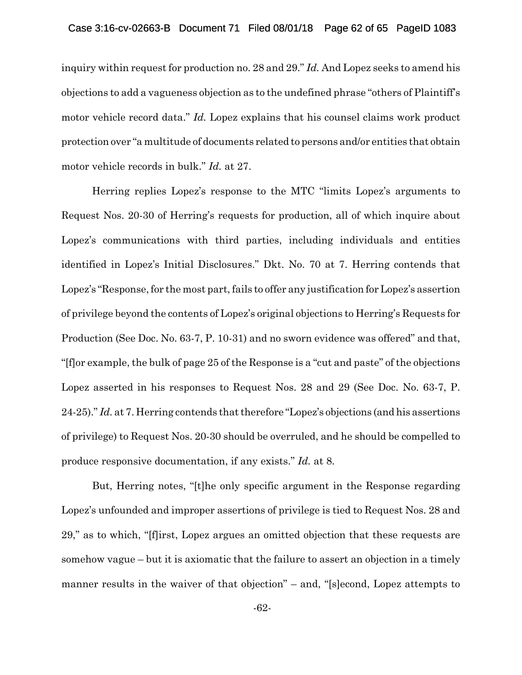## Case 3:16-cv-02663-B Document 71 Filed 08/01/18 Page 62 of 65 PageID 1083

inquiry within request for production no. 28 and 29." *Id.* And Lopez seeks to amend his objections to add a vagueness objection as to the undefined phrase "others of Plaintiff's motor vehicle record data." *Id.* Lopez explains that his counsel claims work product protection over "a multitude of documents related to persons and/or entities that obtain motor vehicle records in bulk." *Id.* at 27.

Herring replies Lopez's response to the MTC "limits Lopez's arguments to Request Nos. 20-30 of Herring's requests for production, all of which inquire about Lopez's communications with third parties, including individuals and entities identified in Lopez's Initial Disclosures." Dkt. No. 70 at 7. Herring contends that Lopez's "Response, for the most part, fails to offer any justification for Lopez's assertion of privilege beyond the contents of Lopez's original objections to Herring's Requests for Production (See Doc. No. 63-7, P. 10-31) and no sworn evidence was offered" and that, "[f]or example, the bulk of page 25 of the Response is a "cut and paste" of the objections Lopez asserted in his responses to Request Nos. 28 and 29 (See Doc. No. 63-7, P. 24-25)." *Id.* at 7. Herring contends that therefore "Lopez's objections (and his assertions of privilege) to Request Nos. 20-30 should be overruled, and he should be compelled to produce responsive documentation, if any exists." *Id.* at 8.

But, Herring notes, "[t]he only specific argument in the Response regarding Lopez's unfounded and improper assertions of privilege is tied to Request Nos. 28 and 29," as to which, "[f]irst, Lopez argues an omitted objection that these requests are somehow vague – but it is axiomatic that the failure to assert an objection in a timely manner results in the waiver of that objection" – and, "[s]econd, Lopez attempts to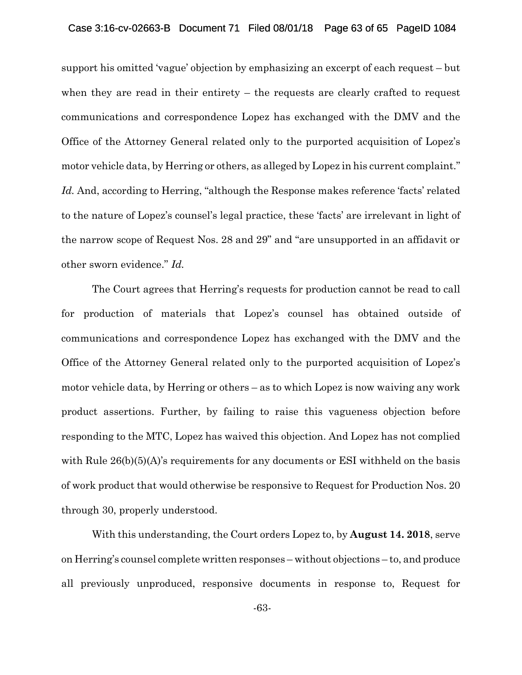## Case 3:16-cv-02663-B Document 71 Filed 08/01/18 Page 63 of 65 PageID 1084

support his omitted 'vague' objection by emphasizing an excerpt of each request – but when they are read in their entirety – the requests are clearly crafted to request communications and correspondence Lopez has exchanged with the DMV and the Office of the Attorney General related only to the purported acquisition of Lopez's motor vehicle data, by Herring or others, as alleged by Lopez in his current complaint." *Id.* And, according to Herring, "although the Response makes reference 'facts' related to the nature of Lopez's counsel's legal practice, these 'facts' are irrelevant in light of the narrow scope of Request Nos. 28 and 29" and "are unsupported in an affidavit or other sworn evidence." *Id.*

The Court agrees that Herring's requests for production cannot be read to call for production of materials that Lopez's counsel has obtained outside of communications and correspondence Lopez has exchanged with the DMV and the Office of the Attorney General related only to the purported acquisition of Lopez's motor vehicle data, by Herring or others – as to which Lopez is now waiving any work product assertions. Further, by failing to raise this vagueness objection before responding to the MTC, Lopez has waived this objection. And Lopez has not complied with Rule  $26(b)(5)(A)$ 's requirements for any documents or ESI withheld on the basis of work product that would otherwise be responsive to Request for Production Nos. 20 through 30, properly understood.

With this understanding, the Court orders Lopez to, by **August 14. 2018**, serve on Herring's counsel complete written responses – without objections – to, and produce all previously unproduced, responsive documents in response to, Request for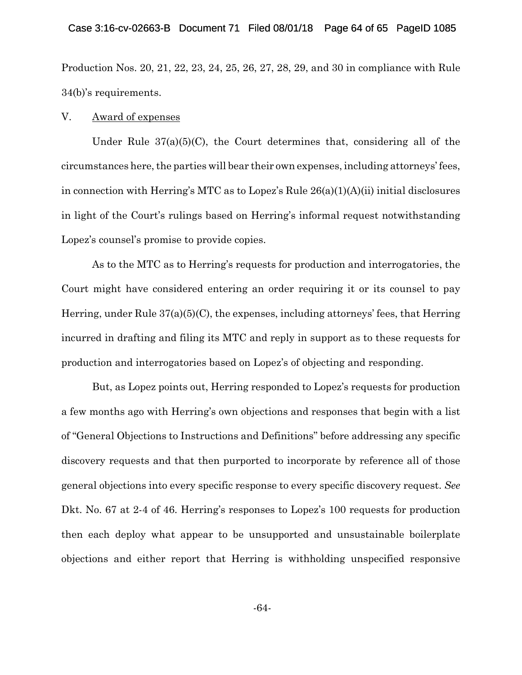## Case 3:16-cv-02663-B Document 71 Filed 08/01/18 Page 64 of 65 PageID 1085

Production Nos. 20, 21, 22, 23, 24, 25, 26, 27, 28, 29, and 30 in compliance with Rule 34(b)'s requirements.

## V. Award of expenses

Under Rule  $37(a)(5)(C)$ , the Court determines that, considering all of the circumstances here, the parties will bear their own expenses, including attorneys' fees, in connection with Herring's MTC as to Lopez's Rule 26(a)(1)(A)(ii) initial disclosures in light of the Court's rulings based on Herring's informal request notwithstanding Lopez's counsel's promise to provide copies.

As to the MTC as to Herring's requests for production and interrogatories, the Court might have considered entering an order requiring it or its counsel to pay Herring, under Rule 37(a)(5)(C), the expenses, including attorneys' fees, that Herring incurred in drafting and filing its MTC and reply in support as to these requests for production and interrogatories based on Lopez's of objecting and responding.

But, as Lopez points out, Herring responded to Lopez's requests for production a few months ago with Herring's own objections and responses that begin with a list of "General Objections to Instructions and Definitions" before addressing any specific discovery requests and that then purported to incorporate by reference all of those general objections into every specific response to every specific discovery request. *See* Dkt. No. 67 at 2-4 of 46. Herring's responses to Lopez's 100 requests for production then each deploy what appear to be unsupported and unsustainable boilerplate objections and either report that Herring is withholding unspecified responsive